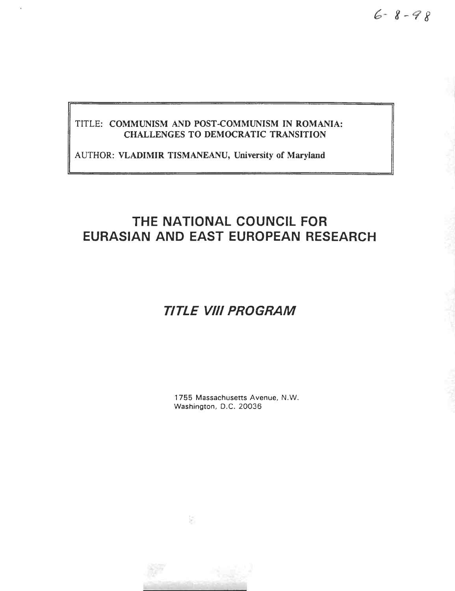$6 - 8 - 98$ 

## TITLE: COMMUNISM AND POST-COMMUNISM IN ROMANIA: CHALLENGES TO DEMOCRATIC TRANSITION

AUTHOR: VLADIMIR TISMANEANU, University of Maryland

## **THE NATIONAL COUNCIL FOR EURASIAN AND EAST EUROPEAN RESEARCH**

# *TITLE VIII PROGRA M*

1755 Massachusetts Avenue, N.W. Washington, D.C. 20036

S.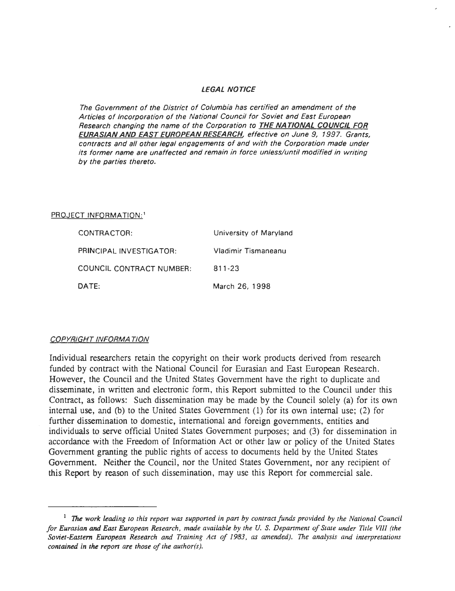#### **LEGAL NOTICE**

The Government of the District of Columbia has certified an amendment of the Articles of Incorporation of the National Council for Soviet and East European Research changing the name of the Corporation to THE NATIONAL COUNCIL FOR EURASIAN AND EAST EUROPEAN RESEARCH, effective on June 9, 1997. Grants, contracts and all other legal engagements of and with the Corporation made under its former name are unaffected and remain in force unless/until modified in writing by the parties thereto.

#### PROJECT INFORMATION:<sup>1</sup>

| CONTRACTOR:              | University of Maryland |
|--------------------------|------------------------|
| PRINCIPAL INVESTIGATOR:  | Vladimir Tismaneanu    |
| COUNCIL CONTRACT NUMBER: | 811-23                 |
| DATE:                    | March 26, 1998         |

#### COPYRIGHT INFORMATION

Individual researchers retain the copyright on their work products derived from research funded by contract with the National Council for Eurasian and East European Research. However, the Council and the United States Government have the right to duplicate and disseminate, in written and electronic form, this Report submitted to the Council under this Contract, as follows: Such dissemination may be made by the Council solely (a) for its own internal use, and (b) to the United States Government (1) for its own internal use; (2) for further dissemination to domestic, international and foreign governments, entities and individuals to serve official United States Government purposes; and (3) for dissemination in accordance with the Freedom of Information Act or other law or policy of the United States Government granting the public rights of access to documents held by the United States Government. Neither the Council, nor the United States Government, nor any recipient of this Report by reason of such dissemination, may use this Report for commercial sale .

<sup>&</sup>lt;sup>1</sup> The work leading to this report was supported in part by contract funds provided by the National Council *for Eurasian and East European Research, made available by the U. S. Department of State under Title VIII (the Soviet-Eastern European Research and Training Act of 1983, as amended). The analysis and interpretation <sup>s</sup> contained in the report are those of the author(s).*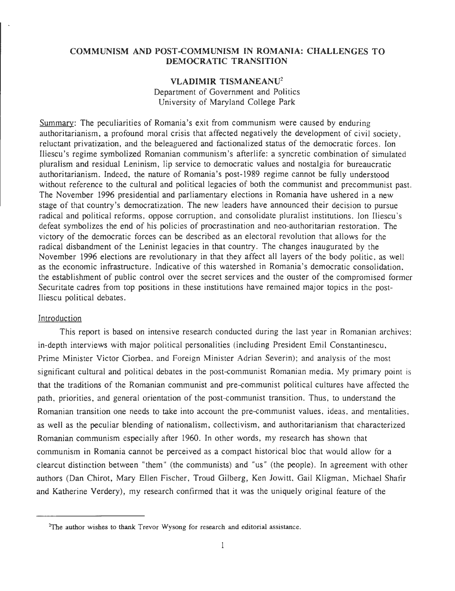## **COMMUNISM AND POST-COMMUNISM IN ROMANIA : CHALLENGES T O DEMOCRATIC TRANSITION**

## **VLADIMIR** TISMANEANU2 Department of Government and Politics University of Maryland College Park

Summary: The peculiarities of Romania's exit from communism were caused by enduring authoritarianism, a profound moral crisis that affected negatively the development of civil society , reluctant privatization, and the beleaguered and factionalized status of the democratic forces. Ion Iliescu's regime symbolized Romanian communism's afterlife: a syncretic combination of simulated pluralism and residual Leninism, lip service to democratic values and nostalgia for bureaucratic authoritarianism. Indeed, the nature of Romania's post-1989 regime cannot be fully understood without reference to the cultural and political legacies of both the communist and precommunist past. The November 1996 presidential and parliamentary elections in Romania have ushered in a new stage of that country's democratization. The new leaders have announced their decision to pursue radical and political reforms, oppose corruption, and consolidate pluralist institutions. Ion Iliescu's defeat symbolizes the end of his policies of procrastination and neo-authoritarian restoration. The victory of the democratic forces can be described as an electoral revolution that allows for the radical disbandment of the Leninist legacies in that country. The changes inaugurated by the November 1996 elections are revolutionary in that they affect all layers of the body politic, as well as the economic infrastructure. Indicative of this watershed in Romania's democratic consolidation, the establishment of public control over the secret services and the ouster of the compromised former Securitate cadres from top positions in these institutions have remained major topics in the post-Iliescu political debates .

#### Introduction

This report is based on intensive research conducted during the last year in Romanian archives; in-depth interviews with major political personalities (including President Emil Constantinescu . Prime Minister Victor Ciorbea, and Foreign Minister Adrian Severin); and analysis of the most significant cultural and political debates in the post-communist Romanian media. My primary point is that the traditions of the Romanian communist and pre-communist political cultures have affected the path, priorities, and general orientation of the post-communist transition. Thus, to understand the Romanian transition one needs to take into account the pre-communist values, ideas, and mentalities, as well as the peculiar blending of nationalism, collectivism, and authoritarianism that characterized Romanian communism especially after 1960. In other words, my research has shown that communism in Romania cannot be perceived as a compact historical bloc that would allow for a clearcut distinction between "them" (the communists) and "us" (the people) . In agreement with other authors (Dan Chirot, Mary Ellen Fischer, Troud Gilberg, Ken Jowitt, Gail Kligman, Michael Shafir and Katherine Verdery), my research confirmed that it was the uniquely original feature of the

**<sup>2</sup>The author wishes to thank** Trevor Wysong for research and editorial assistance.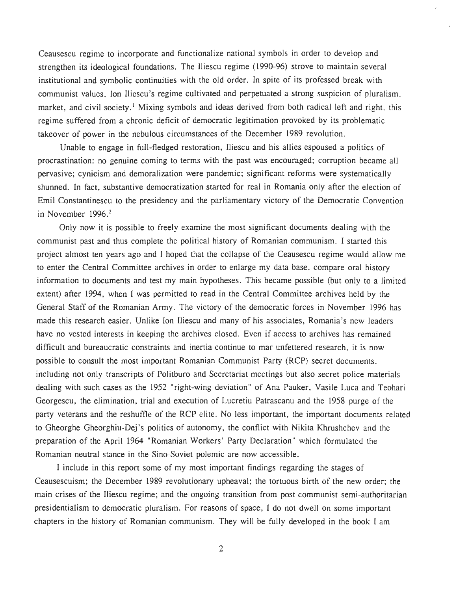Ceausescu regime to incorporate and functionalize national symbols in order to develop and strengthen its ideological foundations. The Iliescu regime (1990-96) strove to maintain several institutional and symbolic continuities with the old order. In spite of its professed break with communist values, Ion Iliescu's regime cultivated and perpetuated a strong suspicion of pluralism . market, and civil society.<sup>1</sup> Mixing symbols and ideas derived from both radical left and right, this regime suffered from a chronic deficit of democratic legitimation provoked by its problematic takeover of power in the nebulous circumstances of the December 1989 revolution .

Unable to engage in full-fledged restoration, Iliescu and his allies espoused a politics of procrastination: no genuine coming to terms with the past was encouraged; corruption became all pervasive; cynicism and demoralization were pandemic; significant reforms were systematically shunned. In fact, substantive democratization started for real in Romania only after the election of Emil Constantinescu to the presidency and the parliamentary victory of the Democratic Convention in November 1996.<sup>2</sup>

Only now it is possible to freely examine the most significant documents dealing with the communist past and thus complete the political history of Romanian communism . I started this project almost ten years ago and I hoped that the collapse of the Ceausescu regime would allow me to enter the Central Committee archives in order to enlarge my data base, compare oral history information to documents and test my main hypotheses. This became possible (but only to a limited extent) after 1994, when I was permitted to read in the Central Committee archives held by the General Staff of the Romanian Army. The victory of the democratic forces in November 1996 has made this research easier. Unlike Ion Iliescu and many of his associates, Romania's new leaders have no vested interests in keeping the archives closed. Even if access to archives has remained difficult and bureaucratic constraints and inertia continue to mar unfettered research, it is now possible to consult the most important Romanian Communist Party (RCP) secret documents . including not only transcripts of Politburo and Secretariat meetings but also secret police materials dealing with such cases as the 1952 "right-wing deviation" of Ana Pauker, Vasile Luca and Teohari Georgescu, the elimination, trial and execution of Lucretiu Patrascanu and the 1958 purge of the party veterans and the reshuffle of the RCP elite. No less important, the important documents related to Gheorghe Gheorghiu-Dej's politics of autonomy, the conflict with Nikita Khrushchev and the preparation of the April 1964 "Romanian Workers' Party Declaration" which formulated the Romanian neutral stance in the Sino-Soviet polemic are now accessible .

I include in this report some of my most important findings regarding the stages of Ceausescuism; the December 1989 revolutionary upheaval; the tortuous birth of the new order; the main crises of the Iliescu regime; and the ongoing transition from post-communist semi-authoritarian presidentialism to democratic pluralism. For reasons of space, I do not dwell on some important chapters in the history of Romanian communism. They will be fully developed in the book I am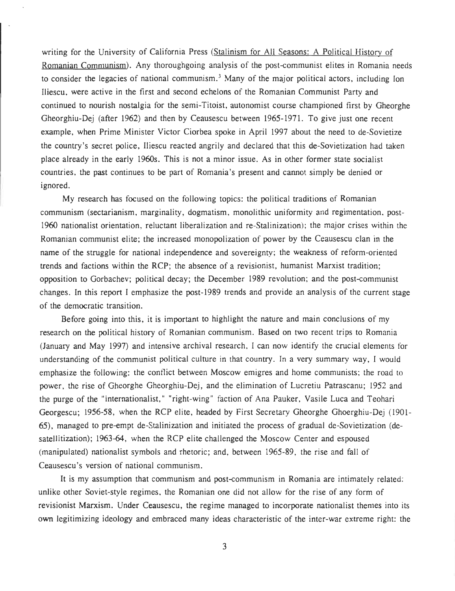writing for the University of California Press (Stalinism for All Seasons: A Political History of Romanian Communism). Any thoroughgoing analysis of the post-communist elites in Romania needs to consider the legacies of national communism.<sup>3</sup> Many of the major political actors, including Ion Iliescu, were active in the first and second echelons of the Romanian Communist Party and continued to nourish nostalgia for the semi-Titoist, autonomist course championed first by Gheorghe Gheorghiu-Dej (after 1962) and then by Ceausescu between 1965-1971. To give just one recent example, when Prime Minister Victor Ciorbea spoke in April 1997 about the need to de-Sovietize the country's secret police, Iliescu reacted angrily and declared that this de-Sovietization had taken place already in the early 1960s. This is not a minor issue. As in other former state socialist countries, the past continues to be part of Romania's present and cannot simply be denied or ignored.

My research has focused on the following topics : the political traditions of Romanian communism (sectarianism, marginality, dogmatism, monolithic uniformity and regimentation, post-1960 nationalist orientation, reluctant liberalization and re-Stalinization); the major crises within the Romanian communist elite; the increased monopolization of power by the Ceausescu clan in the name of the struggle for national independence and sovereignty; the weakness of reform-oriented trends and factions within the RCP; the absence of a revisionist, humanist Marxist tradition; opposition to Gorbachev; political decay; the December 1989 revolution; and the post-communist changes. In this report I emphasize the post-1989 trends and provide an analysis of the current stage of the democratic transition .

Before going into this, it is important to highlight the nature and main conclusions of my research on the political history of Romanian communism. Based on two recent trips to Romania (January and May 1997) and intensive archival research, I can now identify the crucial elements for understanding of the communist political culture in that country. In a very summary way, I would emphasize the following; the conflict between Moscow emigres and home communists; the road to power, the rise of Gheorghe Gheorghiu-Dej, and the elimination of Lucretiu Patrascanu; 1952 and the purge of the "internationalist," "right-wing" faction of Ana Pauker, Vasile Luca and Teohari Georgescu; 1956-58, when the RCP elite, headed by First Secretary Gheorghe Ghoerghiu-Dej (1901 - 65), managed to pre-empt de-Stalinization and initiated the process of gradual de-Sovietization (desatellitization); 1963-64, when the RCP elite challenged the Moscow Center and espoused (manipulated) nationalist symbols and rhetoric; and, between 1965-89, the rise and fall of Ceausescu's version of national communism .

It is my assumption that communism and post-communism in Romania are intimately related : unlike other Soviet-style regimes, the Romanian one did not allow for the rise of any form of revisionist Marxism. Under Ceausescu, the regime managed to incorporate nationalist themes into its own legitimizing ideology and embraced many ideas characteristic of the inter-war extreme right: the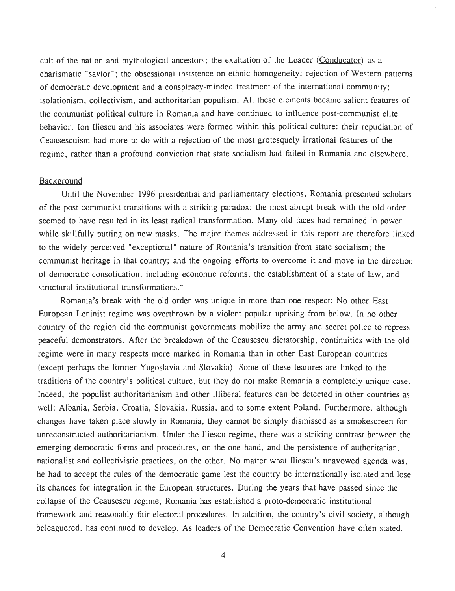cult of the nation and mythological ancestors; the exaltation of the Leader (Conducator) as a charismatic "savior"; the obsessional insistence on ethnic homogeneity; rejection of Western patterns of democratic development and a conspiracy-minded treatment of the international community ; isolationism, collectivism, and authoritarian populism. All these elements became salient features of the communist political culture in Romania and have continued to influence post-communist elite behavior. Ion Iliescu and his associates were formed within this political culture: their repudiation of Ceausescuism had more to do with a rejection of the most grotesquely irrational features of the regime, rather than a profound conviction that state socialism had failed in Romania and elsewhere .

#### **Background**

Until the November 1996 presidential and parliamentary elections, Romania presented scholars of the post-communist transitions with a striking paradox: the most abrupt break with the old order seemed to have resulted in its least radical transformation. Many old faces had remained in power while skillfully putting on new masks. The major themes addressed in this report are therefore linked to the widely perceived "exceptional" nature of Romania's transition from state socialism ; the communist heritage in that country; and the ongoing efforts to overcome it and move in the direction of democratic consolidation, including economic reforms, the establishment of a state of law, and structural institutional transformations . '

Romania's break with the old order was unique in more than one respect: No other East European Leninist regime was overthrown by a violent popular uprising from below . In no other country of the region did the communist governments mobilize the army and secret police to repress peaceful demonstrators. After the breakdown of the Ceausescu dictatorship, continuities with the old regime were in many respects more marked in Romania than in other East European countries (except perhaps the former Yugoslavia and Slovakia). Some of these features are linked to the traditions of the country's political culture, but they do not make Romania a completely unique case. Indeed, the populist authoritarianism and other illiberal features can be detected in other countries as well: Albania, Serbia, Croatia, Slovakia, Russia, and to some extent Poland. Furthermore, although changes have taken place slowly in Romania, they cannot be simply dismissed as a smokescreen for unreconstructed authoritarianism. Under the Iliescu regime, there was a striking contrast between the emerging democratic forms and procedures, on the one hand, and the persistence of authoritarian, nationalist and collectivistic practices, on the other. No matter what Iliescu's unavowed agenda was, he had to accept the rules of the democratic game lest the country be internationally isolated and lose its chances for integration in the European structures. During the years that have passed since the collapse of the Ceausescu regime, Romania has established a proto-democratic institutional framework and reasonably fair electoral procedures. In addition, the country's civil society, although beleaguered, has continued to develop. As leaders of the Democratic Convention have often stated.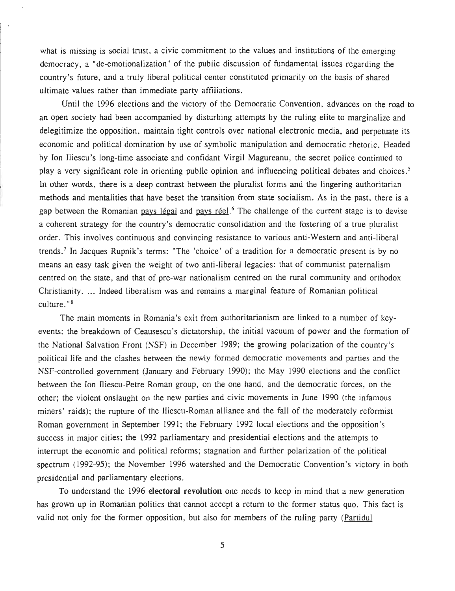what is missing is social trust, a civic commitment to the values and institutions of the emerging democracy, a "de-emotionalization" of the public discussion of fundamental issues regarding the country's future, and a truly liberal political center constituted primarily on the basis of shared ultimate values rather than immediate party affiliations .

 $\overline{\phantom{a}}$ 

Until the 1996 elections and the victory of the Democratic Convention, advances on the road to an open society had been accompanied by disturbing attempts by the ruling elite to marginalize and delegitimize the opposition, maintain tight controls over national electronic media, and perpetuate its economic and political domination by use of symbolic manipulation and democratic rhetoric . Headed by Ion Iliescu's long-time associate and confidant Virgil Magureanu, the secret police continued to play a very significant role in orienting public opinion and influencing political debates and choices . ' In other words, there is a deep contrast between the pluralist forms and the lingering authoritarian methods and mentalities that have beset the transition from state socialism. As in the past, there is a gap between the Romanian pays légal and pays réel.<sup>6</sup> The challenge of the current stage is to devise a coherent strategy for the country's democratic consolidation and the fostering of a true pluralist order. This involves continuous and convincing resistance to various anti-Western and anti-liberal trends.<sup>7</sup> In Jacques Rupnik's terms: "The 'choice' of a tradition for a democratic present is by no means an easy task given the weight of two anti-liberal legacies: that of communist paternalism centred on the state, and that of pre-war nationalism centred on the rural community and orthodox Christianity. ... Indeed liberalism was and remains a marginal feature of Romanian political culture."<sup>8</sup>

The main moments in Romania's exit from authoritarianism are linked to a number of keyevents: the breakdown of Ceausescu's dictatorship, the initial vacuum of power and the formation of the National Salyation Front (NSF) in December 1989 ; the growing polarization of the country's political life and the clashes between the newly formed democratic movements and parties and the NSF-controlled government (January and February 1990); the May 1990 elections and the conflict between the Ion Iliescu-Petre Roman group, on the one hand, and the democratic forces, on the other; the violent onslaught on the new parties and civic movements in June 1990 (the infamou <sup>s</sup> miners' raids) ; the rupture of the Iliescu-Roman alliance and the fall of the moderately reformist Roman government in September 1991; the February 1992 local elections and the opposition's success in major cities; the 1992 parliamentary and presidential elections and the attempts to interrupt the economic and political reforms; stagnation and further polarization of the political spectrum (1992-95); the November 1996 watershed and the Democratic Convention's victory in both presidential and parliamentary elections .

To understand the 1996 electoral revolution one needs to keep in mind that a new generation has grown up in Romanian politics that cannot accept a return to the former status quo. This fact is valid not only for the former opposition, but also for members of the ruling party (Partidul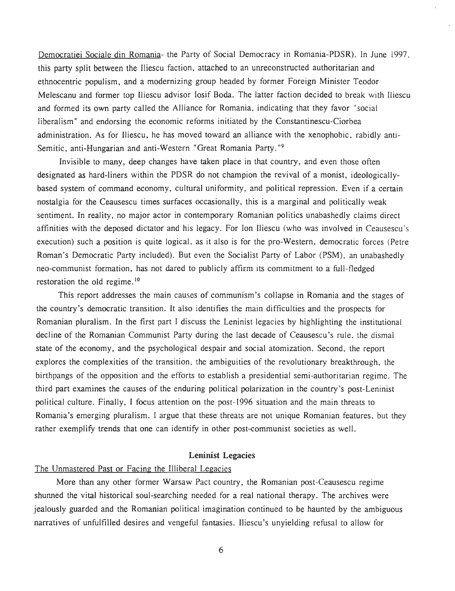Democratiei Sociale din Romania- the Party of Social Democracy in Romania-PDSR). In June 1997, this party split between the Iliescu faction, attached to an unreconstructed authoritarian and ethnocentric populism, and a modernizing group headed by former Foreign Minister Teodor Melescanu and former top Iliescu advisor Iosif Boda. The latter faction decided to break with Iliescu and formed its own party called the Alliance for Romania, indicating that they favor "social liberalism" and endorsing the economic reforms initiated by the Constantinescu-Ciorbea administration. As for Iliescu, he has moved toward an alliance with the xenophobic, rabidly anti-Semitic, anti-Hungarian and anti-Western "Great Romania Party."<sup>9</sup>

Invisible to many, deep changes have taken place in that country, and even those often designated as hard-liners within the PDSR do not champion the revival of a monist, ideologically based system of command economy, cultural uniformity, and political repression. Even if a certain nostalgia for the Ceausescu times surfaces occasionally, this is a marginal and politically weak sentiment. In reality, no major actor in contemporary Romanian politics unabashedly claims direct affinities with the deposed dictator and his legacy. For Ion Iliescu (who was involved in Ceausescu's execution) such a position is quite logical, as it also is for the pro-Western, democratic forces (Petre Roman's Democratic Party included). But even the Socialist Party of Labor (PSM), an unabashedly neo-communist formation, has not dared to publicly affirm its commitment to a full-fledged restoration the old regime.<sup>10</sup>

This report addresses the main causes of communism's collapse in Romania and the stages of the country's democratic transition. It also identifies the main difficulties and the prospects for Romanian pluralism. In the first part I discuss the Leninist legacies by highlighting the institutional decline of the Romanian Communist Party during the last decade of Ceausescu's rule, the dismal state of the economy, and the psychological despair and social atomization . Second, the report explores the complexities of the transition, the ambiguities of the revolutionary breakthrough, the birthpangs of the opposition and the efforts to establish a presidential semi-authoritarian regime. The third part examines the causes of the enduring political polarization in the country's post-Leninist political culture . Finally, I focus attention on the post-1996 situation and the main threats to Romania's emerging pluralism. I argue that these threats are not unique Romanian features, but they rather exemplify trends that one can identify in other post-communist societies as well.

#### **Leninist Legacies**

## The Unmastered Past or Facing the Illiberal Legacies

More than any other former Warsaw Pact country, the Romanian post-Ceausescu regime shunned the vital historical soul-searching needed for a real national therapy. The archives were jealously guarded and the Romanian political imagination continued to be haunted by the ambiguous narratives of unfulfilled desires and vengeful fantasies. Iliescu's unvielding refusal to allow for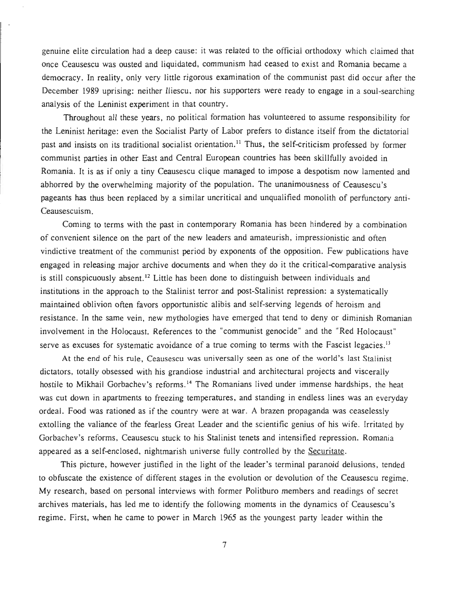genuine elite circulation had a deep cause: it was related to the official orthodoxy which claimed that once Ceausescu was ousted and liquidated, communism had ceased to exist and Romania became a democracy. In reality, only very little rigorous examination of the communist past did occur after the December 1989 uprising: neither Iliescu, nor his supporters were ready to engage in a soul-searching analysis of the Leninist experiment in that country .

Throughout all these years, no political formation has volunteered to assume responsibility for the Leninist heritage: even the Socialist Party of Labor prefers to distance itself from the dictatorial past and insists on its traditional socialist orientation.<sup>11</sup> Thus, the self-criticism professed by former communist parties in other East and Central European countries has been skillfully avoided in Romania. It is as if only a tiny Ceausescu clique managed to impose a despotism now lamented and abhorred by the overwhelming majority of the population. The unanimousness of Ceausescu's pageants has thus been replaced by a similar uncritical and unqualified monolith of perfunctory anti-Ceausescuism.

Coming to terms with the past in contemporary Romania has been hindered by a combination of convenient silence on the part of the new leaders and amateurish, impressionistic and often vindictive treatment of the communist period by exponents of the opposition. Few publications have engaged in releasing major archive documents and when they do it the critical-comparative analysis is still conspicuously absent.<sup>12</sup> Little has been done to distinguish between individuals and institutions in the approach to the Stalinist terror and post-Stalinist repression: a systematically maintained oblivion often favors opportunistic alibis and self-serving legends of heroism and resistance. In the same vein, new mythologies have emerged that tend to deny or diminish Romanian involvement in the Holocaust. References to the "communist genocide" and the "Red Holocaust " serve as excuses for systematic avoidance of a true coming to terms with the Fascist legacies.<sup>13</sup>

At the end of his rule, Ceausescu was universally seen as one of the world's last Stalinist dictators, totally obsessed with his grandiose industrial and architectural projects and viscerally hostile to Mikhail Gorbachev's reforms.<sup>14</sup> The Romanians lived under immense hardships, the heat was cut down in apartments to freezing temperatures, and standing in endless lines was an everyday ordeal. Food was rationed as if the country were at war . A brazen propaganda was ceaselessly extolling the valiance of the fearless Great Leader and the scientific genius of his wife. Irritated by Gorbachev's reforms, Ceausescu stuck to his Stalinist tenets and intensified repression . Romania appeared as a self-enclosed, nightmarish universe fully controlled by the Securitate .

This picture, however justified in the light of the leader's terminal paranoid delusions, tended to obfuscate the existence of different stages in the evolution or devolution of the Ceausescu regime . My research, based on personal interviews with former Politburo members and readings of secret archives materials, has led me to identify the following moments in the dynamics of Ceausescu's regime. First, when he came to power in March 1965 as the youngest party leader within the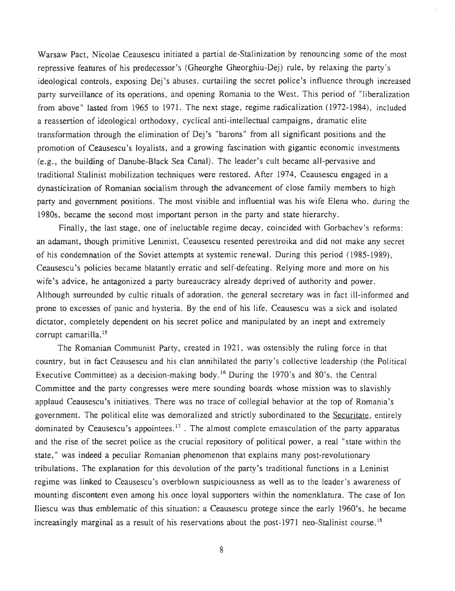Warsaw Pact, Nicolae Ceausescu initiated a partial de-Stalinization by renouncing some of the most repressive features of his predecessor's (Gheorghe Gheorghiu-Dej) rule, by relaxing the party's ideological controls, exposing Dej's abuses, curtailing the secret police's influence through increased party surveillance of its operations, and opening Romania to the West. This period of "liberalization from above" lasted from 1965 to 1971. The next stage, regime radicalization (1972-1984), included a reassertion of ideological orthodoxy, cyclical anti-intellectual campaigns, dramatic elite transformation through the elimination of Dej's "barons" from all significant positions and the promotion of Ceausescu's loyalists, and a growing fascination with gigantic economic investments (e.g., the building of Danube-Black Sea Canal). The leader's cult became all-pervasive and traditional Stalinist mobilization techniques were restored. After 1974, Ceausescu engaged in a dynasticization of Romanian socialism through the advancement of close family members to high party and government positions. The most visible and influential was his wife Elena who, during the 1980s, became the second most important person in the party and state hierarchy .

Finally, the last stage, one of ineluctable regime decay, coincided with Gorbachev's reforms: an adamant, though primitive Leninist, Ceausescu resented perestroika and did not make any secret of his condemnation of the Soviet attempts at systemic renewal . During this period (1985-1989) , Ceausescu's policies became blatantly erratic and self-defeating. Relying more and more on his wife's advice, he antagonized a party bureaucracy already deprived of authority and power . Although surrounded by cultic rituals of adoration, the general secretary was in fact ill-informed and prone to excesses of panic and hysteria. By the end of his life, Ceausescu was a sick and isolated dictator, completely dependent on his secret police and manipulated by an inept and extremely corrupt camarilla.<sup>15</sup>

The Romanian Communist Party, created in 1921, was ostensibly the ruling force in that country, but in fact Ceausescu and his clan annihilated the party's collective leadership (the Political Executive Committee) as a decision-making body.<sup>16</sup> During the 1970's and 80's, the Central Committee and the party congresses were mere sounding boards whose mission was to slavishly applaud Ceausescu's initiatives. There was no trace of collegial behavior at the top of Romania's government. The political elite was demoralized and strictly subordinated to the Securitate, entirely dominated by Ceausescu's appointees.<sup>17</sup>. The almost complete emasculation of the party apparatus and the rise of the secret police as the crucial repository of political power, a real "state within the state," was indeed a peculiar Romanian phenomenon that explains many post-revolutionary tribulations. The explanation for this devolution of the party's traditional functions in a Leninist regime was linked to Ceausescu's overblown suspiciousness as well as to the leader's awareness of mounting discontent even among his once loyal supporters within the nomenklatura. The case of Ion Iliescu was thus emblematic of this situation: a Ceausescu protege since the early 1960's, he became increasingly marginal as a result of his reservations about the post-1971 neo-Stalinist course.<sup>18</sup>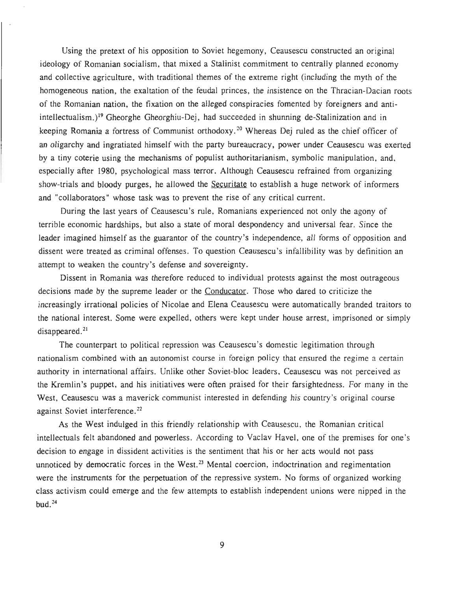Using the pretext of his opposition to Soviet hegemony, Ceausescu constructed an original ideology of Romanian socialism, that mixed a Stalinist commitment to centrally planned economy and collective agriculture, with traditional themes of the extreme right (including the myth of the homogeneous nation, the exaltation of the feudal princes, the insistence on the Thracian-Dacian roots of the Romanian nation, the fixation on the alleged conspiracies fomented by foreigners and antiintellectualism.)<sup>19</sup> Gheorghe Gheorghiu-Dej, had succeeded in shunning de-Stalinization and in keeping Romania a fortress of Communist orthodoxy.<sup>20</sup> Whereas Dej ruled as the chief officer of an oligarchy and ingratiated himself with the party bureaucracy, power under Ceausescu was exerted by a tiny coterie using the mechanisms of populist authoritarianism, symbolic manipulation, and , especially after 1980, psychological mass terror. Although Ceausescu refrained from organizing show-trials and bloody purges, he allowed the Securitate to establish a huge network of informers and "collaborators" whose task was to prevent the rise of any critical current.

During the last years of Ceausescu's rule, Romanians experienced not only the agony of terrible economic hardships, but also a state of moral despondency and universal fear . Since the leader imagined himself as the guarantor of the country's independence, all forms of opposition and dissent were treated as criminal offenses. To question Ceausescu's infallibility was by definition an attempt to weaken the country's defense and sovereignty .

Dissent in Romania was therefore reduced to individual protests against the most outrageous decisions made by the supreme leader or the Conducator. Those who dared to criticize the increasingly irrational policies of Nicolae and Elena Ceausescu were automatically branded traitors to the national interest. Some were expelled, others were kept under house arrest, imprisoned or simply disappeared. $21$ 

The counterpart to political repression was Ceausescu's domestic legitimation through nationalism combined with an autonomist course in foreign policy that ensured the regime a certain authority in international affairs. Unlike other Soviet-bloc leaders, Ceausescu was not perceived as the Kremlin's puppet, and his initiatives were often praised for their farsightedness. For many in the West, Ceausescu was a maverick communist interested in defending his country's original course against Soviet interference.<sup>22</sup>

As the West indulged in this friendly relationship with Ceausescu, the Romanian critical intellectuals felt abandoned and powerless. According to Vaclav Havel, one of the premises for one's decision to engage in dissident activities is the sentiment that his or her acts would not pass unnoticed by democratic forces in the West.<sup>23</sup> Mental coercion, indoctrination and regimentation were the instruments for the perpetuation of the repressive system. No forms of organized working class activism could emerge and the few attempts to establish independent unions were nipped in the bud. $24$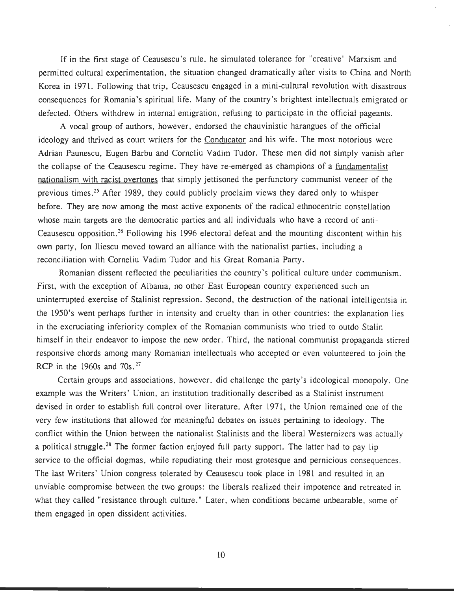If in the first stage of Ceausescu's rule, he simulated tolerance for "creative" Marxism and permitted cultural experimentation, the situation changed dramatically after visits to China and North Korea in 1971. Following that trip, Ceausescu engaged in a mini-cultural revolution with disastrous consequences for Romania's spiritual life. Many of the country's brightest intellectuals emigrated or defected. Others withdrew in internal emigration, refusing to participate in the official pageants.

A vocal group of authors, however, endorsed the chauvinistic harangues of the official ideology and thrived as court writers for the Conducator and his wife. The most notorious were Adrian Paunescu, Eugen Barbu and Corneliu Vadim Tudor. These men did not simply vanish after the collapse of the Ceausescu regime. They have re-emerged as champions of a <u>fundamentalist</u> nationalism with racist overtones that simply jettisoned the perfunctory communist veneer of the previous times.<sup>25</sup> After 1989, they could publicly proclaim views they dared only to whisper before. They are now among the most active exponents of the radical ethnocentric constellation whose main targets are the democratic parties and all individuals who have a record of anti-Ceausescu opposition. <sup>26</sup> Following his 1996 electoral defeat and the mounting discontent within his own party, Ion Iliescu moved toward an alliance with the nationalist parties, including a reconciliation with Corneliu Vadim Tudor and his Great Romania Party .

Romanian dissent reflected the peculiarities the country's political culture under communism . First, with the exception of Albania, no other East European country experienced such an uninterrupted exercise of Stalinist repression. Second, the destruction of the national intelligentsia in the 1950's went perhaps further in intensity and cruelty than in other countries: the explanation lies in the excruciating inferiority complex of the Romanian communists who tried to outdo Stalin himself in their endeavor to impose the new order. Third, the national communist propaganda stirred responsive chords among many Romanian intellectuals who accepted or even volunteered to join the RCP in the 1960s and  $70s$ . <sup>27</sup>

Certain groups and associations, however, did challenge the party's ideological monopoly. One example was the Writers' Union, an institution traditionally described as a Stalinist instrument devised in order to establish full control over literature. After 1971, the Union remained one of the very few institutions that allowed for meaningful debates on issues pertaining to ideology . The conflict within the Union between the nationalist Stalinists and the liberal Westernizers was actually a political struggle.<sup>28</sup> The former faction enjoyed full party support. The latter had to pay lip service to the official dogmas, while repudiating their most grotesque and pernicious consequences. The last Writers' Union congress tolerated by Ceausescu took place in 1981 and resulted in an unviable compromise between the two groups: the liberals realized their impotence and retreated in what they called "resistance through culture." Later, when conditions became unbearable, some of them engaged in open dissident activities .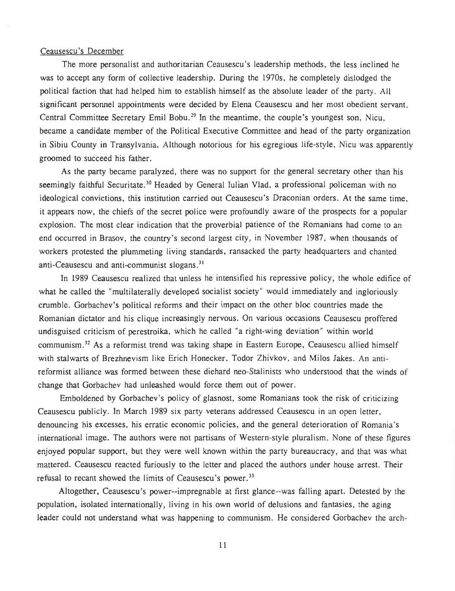#### Ceausescu's December

The more personalist and authoritarian Ceausescu's leadership methods, the less inclined he was to accept any form of collective leadership. During the 1970s, he completely dislodged the political faction that had helped him to establish himself as the absolute leader of the party . All significant personnel appointments were decided by Elena Ceausescu and her most obedient servant. Central Committee Secretary Emil Bobu.<sup>29</sup> In the meantime, the couple's youngest son, Nicu. became a candidate member of the Political Executive Committee and head of the party organization in Sibiu County in Transylvania. Although notorious for his egregious life-style, Nicu was apparently groomed to succeed his father.

As the party became paralyzed, there was no support for the general secretary other than his seemingly faithful Securitate.<sup>30</sup> Headed by General Iulian Vlad, a professional policeman with no ideological convictions, this institution carried out Ceausescu's Draconian orders. At the same time, it appears now, the chiefs of the secret police were profoundly aware of the prospects for a popular explosion. The most clear indication that the proverbial patience of the Romanians had come to an end occurred in Brasov, the country's second largest city, in November 1987, when thousands of workers protested the plummeting living standards, ransacked the party headquarters and chanted anti-Ceausescu and anti-communist slogans.<sup>31</sup>

In 1989 Ceausescu realized that unless he intensified his repressive policy, the whole edifice of what he called the "multilaterally developed socialist society" would immediately and ingloriously crumble . Gorbachev's political reforms and their impact on the other bloc countries made the Romanian dictator and his clique increasingly nervous. On various occasions Ceausescu proffered undisguised criticism of perestroika, which he called "a right-wing deviation" within world communism.<sup>32</sup> As a reformist trend was taking shape in Eastern Europe, Ceausescu allied himself with stalwarts of Brezhnevism like Erich Honecker, Todor Zhivkov, and Milos Jakes. An antireformist alliance was formed between these diehard neo-Stalinists who understood that the winds of change that Gorbachev had unleashed would force them out of power .

Emboldened by Gorbachev's policy of glasnost, some Romanians took the risk of criticizing Ceausescu publicly . In March 1989 six party veterans addressed Ceausescu in an open letter , denouncing his excesses, his erratic economic policies, and the general deterioration of Romania's international image. The authors were not partisans of Western-style pluralism. None of these figures enjoyed popular support, but they were well known within the party bureaucracy, and that was what mattered. Ceausescu reacted furiously to the letter and placed the authors under house arrest. Their refusal to recant showed the limits of Ceausescu's power.<sup>33</sup>

Altogether, Ceausescu's power--impregnable at first glance--was falling apart. Detested by the population, isolated internationally, living in his own world of delusions and fantasies, the aging leader could not understand what was happening to communism. He considered Gorbachev the arch-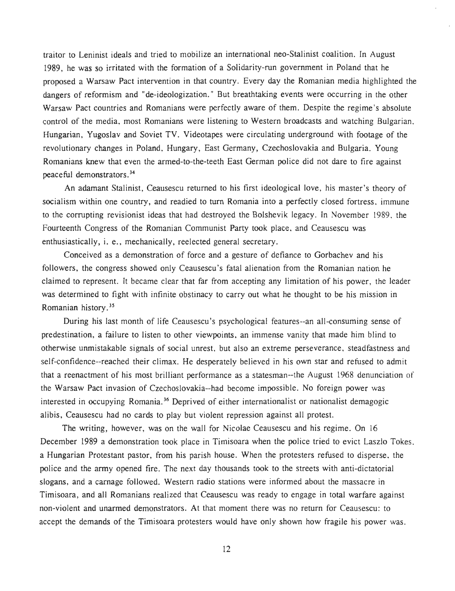traitor to Leninist ideals and tried to mobilize an international neo-Stalinist coalition . In August 1989, he was so irritated with the formation of a Solidarity-run government in Poland that he proposed a Warsaw Pact intervention in that country. Every day the Romanian media highlighted the dangers of reformism and "de-ideologization." But breathtaking events were occurring in the other Warsaw Pact countries and Romanians were perfectly aware of them. Despite the regime's absolute control of the media, most Romanians were listening to Western broadcasts and watching Bulgarian , Hungarian, Yugoslav and Soviet TV. Videotapes were circulating underground with footage of the revolutionary changes in Poland, Hungary, East Germany, Czechoslovakia and Bulgaria. Young Romanians knew that even the armed-to-the-teeth East German police did not dare to fire against peaceful demonstrators.<sup>34</sup>

An adamant Stalinist, Ceausescu returned to his first ideological love, his master's theory of socialism within one country, and readied to turn Romania into a perfectly closed fortress, immune to the corrupting revisionist ideas that had destroyed the Bolshevik legacy. In November 1989, the Fourteenth Congress of the Romanian Communist Party took place, and Ceausescu was enthusiastically, i. e., mechanically, reelected general secretary.

Conceived as a demonstration of force and a gesture of defiance to Gorbachev and his followers, the congress showed only Ceausescu's fatal alienation from the Romanian nation he claimed to represent. It became clear that far from accepting any limitation of his power, the leader was determined to fight with infinite obstinacy to carry out what he thought to be his mission in Romanian history . **3 5**

During his last month of life Ceausescu's psychological features--an all-consuming sense of predestination, a failure to listen to other viewpoints, an immense vanity that made him blind to otherwise unmistakable signals of social unrest, but also an extreme perseverance, steadfastness and self-confidence--reached their climax. He desperately believed in his own star and refused to admit that a reenactment of his most brilliant performance as a statesman--the August 1968 denunciation of the Warsaw Pact invasion of Czechoslovakia--had become impossible. No foreign power was interested in occupying Romania.<sup>36</sup> Deprived of either internationalist or nationalist demagogic alibis, Ceausescu had no cards to play but violent repression against all protest.

The writing, however, was on the wall for Nicolae Ceausescu and his regime. On 16 December 1989 a demonstration took place in Timisoara when the police tried to evict Laszlo Tokes , a Hungarian Protestant pastor, from his parish house. When the protesters refused to disperse, the police and the army opened fire. The next day thousands took to the streets with anti-dictatorial slogans, and a carnage followed. Western radio stations were informed about the massacre in Timisoara, and all Romanians realized that Ceausescu was ready to engage in total warfare agains t non-violent and unarmed demonstrators. At that moment there was no return for Ceausescu : to accept the demands of the Timisoara protesters would have only shown how fragile his power was .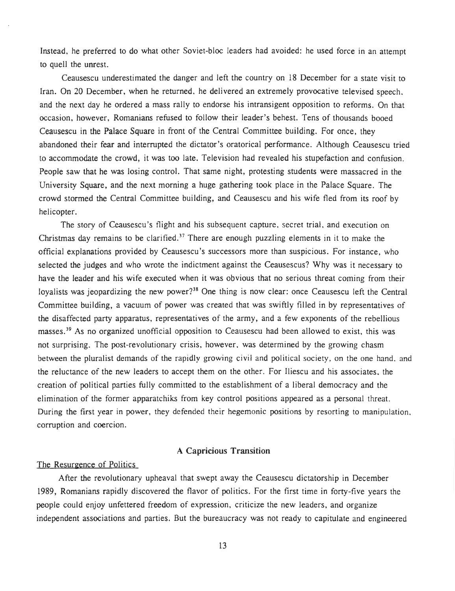Instead, he preferred to do what other Soviet-bloc leaders had avoided: he used force in an attempt to quell the unrest.

Ceausescu underestimated the danger and left the country on 18 December for a state visit to Iran. On 20 December, when he returned, he delivered an extremely provocative televised speech , and the next day he ordered a mass rally to endorse his intransigent opposition to reforms . On that occasion, however, Romanians refused to follow their leader's behest. Tens of thousands booed Ceausescu in the Palace Square in front of the Central Committee building. For once, they abandoned their fear and interrupted the dictator's oratorical performance. Although Ceausescu tried to accommodate the crowd, it was too late. Television had revealed his stupefaction and confusion. People saw that he was losing control. That same night, protesting students were massacred in the University Square, and the next morning a huge gathering took place in the Palace Square. The crowd stormed the Central Committee building, and Ceausescu and his wife fled from its roof by helicopter.

The story of Ceausescu's flight and his subsequent capture, secret trial, and execution on Christmas day remains to be clarified.<sup>37</sup> There are enough puzzling elements in it to make the official explanations provided by Ceausescu's successors more than suspicious. For instance, who selected the judges and who wrote the indictment against the Ceausescus? Why was it necessary to have the leader and his wife executed when it was obvious that no serious threat coming from their loyalists was jeopardizing the new power?<sup>38</sup> One thing is now clear: once Ceausescu left the Central Committee building, a vacuum of power was created that was swiftly filled in by representatives of the disaffected party apparatus, representatives of the army, and a few exponents of the rebellious masses.<sup>39</sup> As no organized unofficial opposition to Ceausescu had been allowed to exist, this was not surprising. The post-revolutionary crisis, however, was determined by the growing chasm between the pluralist demands of the rapidly growing civil and political society, on the one hand, and the reluctance of the new leaders to accept them on the other . For Iliescu and his associates, the creation of political parties fully committed to the establishment of a liberal democracy and the elimination of the former apparatchiks from key control positions appeared as a personal threat. During the first year in power, they defended their hegemonic positions by resorting to manipulation, corruption and coercion.

#### **A Capricious Transition**

## The Resurgence of Politics

After the revolutionary upheaval that swept away the Ceausescu dictatorship in December 1989, Romanians rapidly discovered the flavor of politics. For the first time in forty-five years the people could enjoy unfettered freedom of expression, criticize the new leaders, and organize independent associations and parties. But the bureaucracy was not ready to capitulate and engineered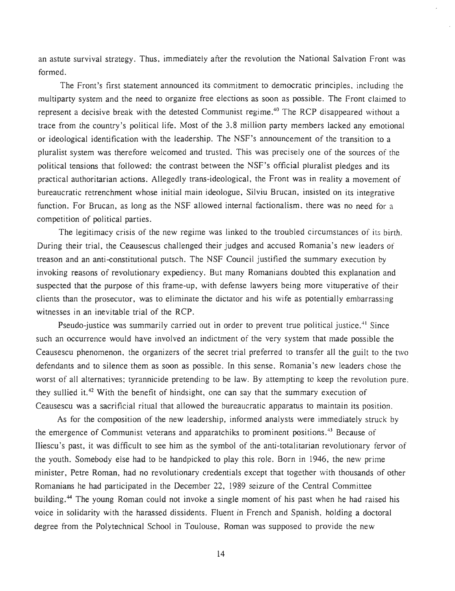an astute survival strategy. Thus, immediately after the revolution the National Salvation Front was formed.

The Front's first statement announced its commitment to democratic principles, including the multiparty system and the need to organize free elections as soon as possible . The Front claimed to represent a decisive break with the detested Communist regime.<sup>40</sup> The RCP disappeared without a trace from the country's political life. Most of the 3.8 million party members lacked any emotional or ideological identification with the leadership. The NSF's announcement of the transition to a pluralist system was therefore welcomed and trusted. This was precisely one of the sources of the political tensions that followed: the contrast between the NSF's official pluralist pledges and its practical authoritarian actions. Allegedly trans-ideological, the Front was in reality a movement of bureaucratic retrenchment whose initial main ideologue, Silviu Brucan, insisted on its integrative function. For Brucan, as long as the NSF allowed internal factionalism, there was no need for a competition of political parties .

The legitimacy crisis of the new regime was linked to the troubled circumstances of its birth. During their trial, the Ceausescus challenged their judges and accused Romania's new leaders of treason and an anti-constitutional putsch . The NSF Council justified the summary execution by invoking reasons of revolutionary expediency. But many Romanians doubted this explanation and suspected that the purpose of this frame-up, with defense lawyers being more vituperative of their clients than the prosecutor, was to eliminate the dictator and his wife as potentially embarrassing witnesses in an inevitable trial of the RCP.

Pseudo-justice was summarily carried out in order to prevent true political justice.<sup>41</sup> Since such an occurrence would have involved an indictment of the very system that made possible the Ceausescu phenomenon, the organizers of the secret trial preferred to transfer all the guilt to the two defendants and to silence them as soon as possible. In this sense, Romania's new leaders chose the worst of all alternatives; tyrannicide pretending to be law. By attempting to keep the revolution pure. they sullied it.<sup>42</sup> With the benefit of hindsight, one can say that the summary execution of Ceausescu was a sacrificial ritual that allowed the bureaucratic apparatus to maintain its position .

As for the composition of the new leadership, informed analysts were immediately struck by the emergence of Communist veterans and apparatchiks to prominent positions.**<sup>43</sup>** Because of Iliescu's past, it was difficult to see him as the symbol of the anti-totalitarian revolutionary fervor of the youth. Somebody else had to be handpicked to play this role. Born in 1946, the new prime minister, Petre Roman, had no revolutionary credentials except that together with thousands of other Romanians he had participated in the December 22, 1989 seizure of the Central Committee building.<sup>44</sup> The young Roman could not invoke a single moment of his past when he had raised his voice in solidarity with the harassed dissidents. Fluent in French and Spanish, holding a doctoral degree from the Polytechnical School in Toulouse, Roman was supposed to provide the new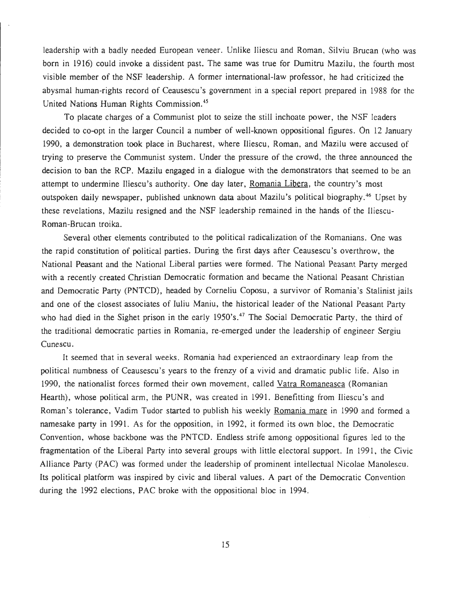leadership with a badly needed European veneer . Unlike Iliescu and Roman, Silviu Brucan (who was born in 1916) could invoke a dissident past. The same was true for Dumitru Mazilu, the fourth most visible member of the NSF leadership . A former international-law professor, he had criticized the abysmal human-rights record of Ceausescu's government in a special report prepared in 1988 for the United Nations Human Rights Commission.<sup>45</sup>

To placate charges of a Communist plot to seize the still inchoate power, the NSF leaders decided to co-opt in the larger Council a number of well-known oppositional figures. On 12 January 1990, a demonstration took place in Bucharest, where Iliescu, Roman, and Mazilu were accused of trying to preserve the Communist system. Under the pressure of the crowd, the three announced the decision to ban the RCP. Mazilu engaged in a dialogue with the demonstrators that seemed to be an attempt to undermine Iliescu's authority . One day later, Romania Libera, the country's most outspoken daily newspaper, published unknown data about Mazilu's political biography.<sup>46</sup> Upset by these revelations, Mazilu resigned and the NSF leadership remained in the hands of the Iliescu - Roman-Brucan troika .

Several other elements contributed to the political radicalization of the Romanians . One was the rapid constitution of political parties. During the first days after Ceausescu's overthrow, the National Peasant and the National Liberal parties were formed. The National Peasant Party merged with a recently created Christian Democratic formation and became the National Peasant Christian and Democratic Party (PNTCD), headed by Corneliu Coposu, a survivor of Romania's Stalinist jails and one of the closest associates of Iuliu Maniu, the historical leader of the National Peasant Party who had died in the Sighet prison in the early 1950's.<sup>47</sup> The Social Democratic Party, the third of the traditional democratic parties in Romania, re-emerged under the leadership of engineer Sergiu Cunescu .

It seemed that in several weeks. Romania had experienced an extraordinary leap from the political numbness of Ceausescu's years to the frenzy of a vivid and dramatic public life. Also in 1990, the nationalist forces formed their own movement, called Vatra Romaneasca (Romanian Hearth), whose political arm, the PUNR, was created in 1991. Benefitting from Iliescu's and Roman's tolerance, Vadim Tudor started to publish his weekly Romania mare in 1990 and formed a namesake party in 1991. As for the opposition, in 1992, it formed its own bloc, the Democratic Convention, whose backbone was the PNTCD. Endless strife among oppositional figures led to the fragmentation of the Liberal Party into several groups with little electoral support. In 1991, the Civic Alliance Party (PAC) was formed under the leadership of prominent intellectual Nicolae Manolescu . Its political platform was inspired by civic and liberal values. A part of the Democratic Convention during the 1992 elections, PAC broke with the oppositional bloc in 1994.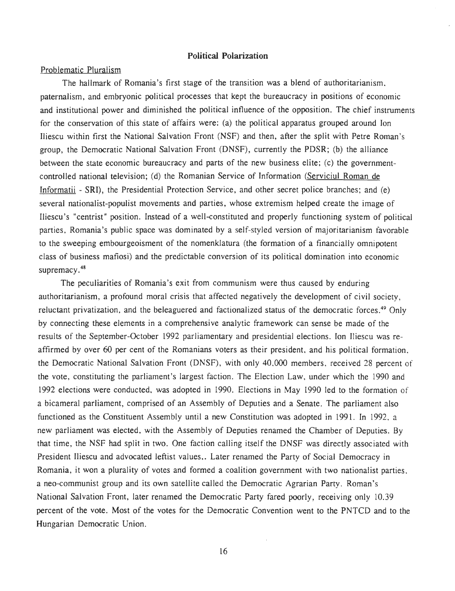#### **Political Polarization**

### Problematic Pluralism

The hallmark of Romania's first stage of the transition was a blend of authoritarianism , paternalism, and embryonic political processes that kept the bureaucracy in positions of economic and institutional power and diminished the political influence of the opposition. The chief instruments for the conservation of this state of affairs were : (a) the political apparatus grouped around Ion Iliescu within first the National Salvation Front (NSF) and then, after the split with Petre Roman' <sup>s</sup> group, the Democratic National Salvation Front (DNSF), currently the PDSR ; (b) the alliance between the state economic bureaucracy and parts of the new business elite; (c) the governmentcontrolled national television; (d) the Romanian Service of Information (Serviciul Roman de Informatii - SRI), the Presidential Protection Service, and other secret police branches: and (e) several nationalist-populist movements and parties, whose extremism helped create the image of Iliescu's "centrist" position. Instead of a well-constituted and properly functioning system of political parties, Romania 's public space was dominated by a self-styled version of majoritarianism fayorable to the sweeping embourgeoisment of the nomenklatura (the formation of a financially omnipotent class of business mafiosi) and the predictable conversion of its political domination into economic supremacy. $48$ 

The peculiarities of Romania's exit from communism were thus caused by enduring authoritarianism, a profound moral crisis that affected negatively the development of civil society, reluctant privatization, and the beleaguered and factionalized status of the democratic forces.<sup>49</sup> Only by connecting these elements in a comprehensive analytic framework can sense be made of the results of the September-October 1992 parliamentary and presidential elections . Ion Iliescu was reaffirmed by over 60 per cent of the Romanians voters as their president, and his political formation. the Democratic National Salvation Front (DNSF), with only 40,000 members, received 28 percent of the vote, constituting the parliament's largest faction. The Election Law, under which the 1990 and 1992 elections were conducted, was adopted in 1990 . Elections in May 1990 led to the formation of a bicameral parliament, comprised of an Assembly of Deputies and a Senate. The parliament also functioned as the Constituent Assembly until a new Constitution was adopted in 1991. In 1992, a new parliament was elected, with the Assembly of Deputies renamed the Chamber of Deputies. By that time, the NSF had split in two. One faction calling itself the DNSF was directly associated with President Iliescu and advocated leftist values,. Later renamed the Party of Social Democracy in Romania, it won a plurality of votes and formed a coalition government with two nationalist parties , a neo-communist group and its own satellite called the Democratic Agrarian Party . Roman's National Salvation Front, later renamed the Democratic Party fared poorly, receiving only 10.39 percent of the vote. Most of the votes for the Democratic Convention went to the PNTCD and to the Hungarian Democratic Union.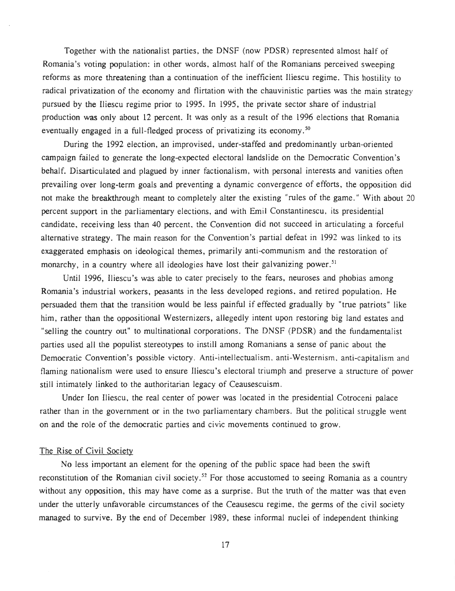Together with the nationalist parties, the DNSF (now PDSR) represented almost half of Romania's voting population: in other words, almost half of the Romanians perceived sweeping reforms as more threatening than a continuation of the inefficient Iliescu regime. This hostility to radical privatization of the economy and flirtation with the chauvinistic parties was the main strategy pursued by the Iliescu regime prior to 1995. In 1995, the private sector share of industrial production was only about 12 percent. It was only as a result of the 1996 elections that Romania eventually engaged in a full-fledged process of privatizing its economy.<sup>50</sup>

During the 1992 election, an improvised, under-staffed and predominantly urban-oriented campaign failed to generate the long-expected electoral landslide on the Democratic Convention' <sup>s</sup> behalf. Disarticulated and plagued by inner factionalism, with personal interests and vanities often prevailing over long-term goals and preventing a dynamic convergence of efforts, the opposition did not make the breakthrough meant to completely alter the existing "rules of the game." With about 20 percent support in the parliamentary elections, and with Emil Constantinescu, its presidentia <sup>l</sup> candidate, receiving less than 40 percent, the Convention did not succeed in articulating a forceful alternative strategy. The main reason for the Convention's partial defeat in 1992 was linked to its exaggerated emphasis on ideological themes, primarily anti-communism and the restoration of monarchy, in a country where all ideologies have lost their galvanizing power.<sup>51</sup>

Until 1996, Iliescu's was able to cater precisely to the fears, neuroses and phobias among Romania's industrial workers, peasants in the less developed regions, and retired population. He persuaded them that the transition would be less painful if effected gradually by "true patriots" like him, rather than the oppositional Westernizers, allegedly intent upon restoring big land estates and "selling the country out" to multinational corporations . The DNSF (PDSR) and the fundamentalist parties used all the populist stereotypes to instill among Romanians a sense of panic about the Democratic Convention's possible victory. Anti-intellectualism, anti-Westernism, anti-capitalism and flaming nationalism were used to ensure Iliescu's electoral triumph and preserve a structure of power still intimately linked to the authoritarian legacy of Ceausescuism .

Under Ion Iliescu, the real center of power was located in the presidential Cotroceni palace rather than in the government or in the two parliamentary chambers. But the political struggle went on and the role of the democratic parties and civic movements continued to grow .

#### The Rise of Civil Society

No less important an element for the opening of the public space had been the swift reconstitution of the Romanian civil society.<sup>52</sup> For those accustomed to seeing Romania as a country without any opposition, this may have come as a surprise. But the truth of the matter was that even under the utterly unfavorable circumstances of the Ceausescu regime, the germs of the civil society managed to survive. By the end of December 1989, these informal nuclei of independent thinking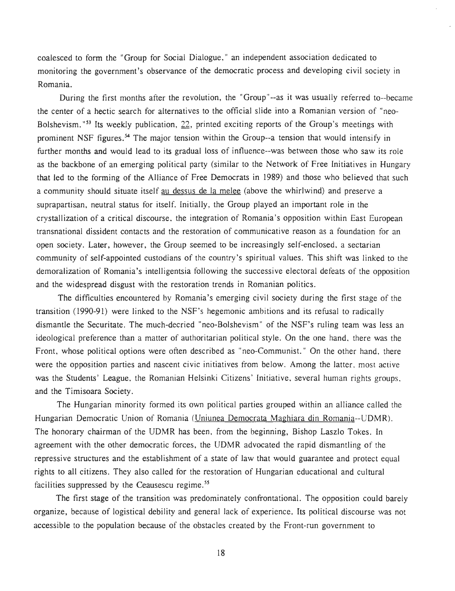coalesced to form the "Group for Social Dialogue," an independent association dedicated to monitoring the government's observance of the democratic process and developing civil society in Romania .

During the first months after the revolution, the "Group"--as it was usually referred to--became the center of a hectic search for alternatives to the official slide into a Romanian version of "neo-Bolshevism. <sup>"53</sup> Its weekly publication, 22, printed exciting reports of the Group's meetings with prominent NSF figures.<sup>54</sup> The major tension within the Group--a tension that would intensify in further months and would lead to its gradual loss of influence--was between those who saw its role as the backbone of an emerging political party (similar to the Network of Free Initiatives in Hungary that led to the forming of the Alliance of Free Democrats in 1989) and those who believed that such a community should situate itself au dessus de la melee (above the whirlwind) and preserve a suprapartisan, neutral status for itself. Initially, the Group played an important role in the crystallization of a critical discourse, the integration of Romania's opposition within East European transnational dissident contacts and the restoration of communicative reason as a foundation for an open society. Later, however, the Group seemed to be increasingly self-enclosed, a sectarian community of self-appointed custodians of the country's spiritual values. This shift was linked to the demoralization of Romania's intelligentsia following the successive electoral defeats of the opposition and the widespread disgust with the restoration trends in Romanian politics .

The difficulties encountered by Romania's emerging civil society during the first stage of the transition (1990-91) were linked to the NSF's hegemonic ambitions and its refusal to radically dismantle the Securitate. The much-decried "neo-Bolshevism" of the NSF's ruling team was less an ideological preference than a matter of authoritarian political style . On the one hand, there was the Front, whose political options were often described as "neo-Communist." On the other hand, there were the opposition parties and nascent civic initiatives from below . Among the latter, most active was the Students' League, the Romanian Helsinki Citizens' Initiative, several human rights groups, and the Timisoara Society .

The Hungarian minority formed its own political parties grouped within an alliance called the Hungarian Democratic Union of Romania (Uniunea Democrata Maghiara din Romania--UDMR). The honorary chairman of the UDMR has been, from the beginning, Bishop Laszlo Tokes. In agreement with the other democratic forces, the UDMR advocated the rapid dismantling of the repressive structures and the establishment of a state of law that would guarantee and protect equal rights to all citizens. They also called for the restoration of Hungarian educational and cultural facilities suppressed by the Ceausescu regime.<sup>55</sup>

The first stage of the transition was predominately confrontational. The opposition could barely organize, because of logistical debility and general lack of experience . Its political discourse was not accessible to the population because of the obstacles created by the Front-run government to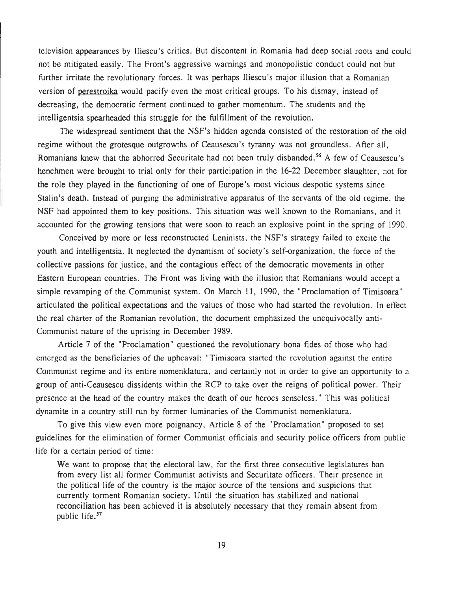television appearances by Iliescu's critics . But discontent in Romania had deep social roots and coul d not be mitigated easily. The Front's aggressive warnings and monopolistic conduct could not but further irritate the revolutionary forces. It was perhaps Iliescu's major illusion that a Romanian version of perestroika would pacify even the most critical groups . To his dismay, instead of decreasing, the democratic ferment continued to gather momentum. The students and the intelligentsia spearheaded this struggle for the fulfillment of the revolution .

The widespread sentiment that the NSF's hidden agenda consisted of the restoration of the old regime without the grotesque outgrowths of Ceausescu's tyranny was not groundless. After all, Romanians knew that the abhorred Securitate had not been truly disbanded.<sup>56</sup> A few of Ceausescu's henchmen were brought to trial only for their participation in the 16-22 December slaughter, not for the role they played in the functioning of one of Europe's most vicious despotic systems since Stalin's death. Instead of purging the administrative apparatus of the servants of the old regime, the NSF had appointed them to key positions. This situation was well known to the Romanians, and it accounted for the growing tensions that were soon to reach an explosive point in the spring of 1990.

Conceived by more or less reconstructed Leninists, the NSF's strategy failed to excite the youth and intelligentsia. It neglected the dynamism of society's self-organization, the force of the collective passions for justice, and the contagious effect of the democratic movements in other Eastern European countries. The Front was living with the illusion that Romanians would accept a simple revamping of the Communist system. On March 11, 1990, the "Proclamation of Timisoara" articulated the political expectations and the values of those who had started the revolution . In effect the real charter of the Romanian revolution, the document emphasized the unequivocally anti-Communist nature of the uprising in December 1989 .

Article 7 of the "Proclamation" questioned the revolutionary bona fides of those who had emerged as the beneficiaries of the upheaval: "Timisoara started the revolution against the entire Communist regime and its entire nomenklatura, and certainly not in order to give an opportunity to a group of anti-Ceausescu dissidents within the RCP to take over the reigns of political power. Their presence at the head of the country makes the death of our heroes senseless ." This was political dynamite in a country still run by former luminaries of the Communist nomenklatura.

To give this view even more poignancy, Article 8 of the "Proclamation" proposed to set guidelines for the elimination of former Communist officials and security police officers from public life for a certain period of time:

We want to propose that the electoral law, for the first three consecutive legislatures ban from every list all former Communist activists and Securitate officers . Their presence in the political life of the country is the major source of the tensions and suspicions that currently torment Romanian society. Until the situation has stabilized and national reconciliation has been achieved it is absolutely necessary that they remain absent from public life.<sup>57</sup>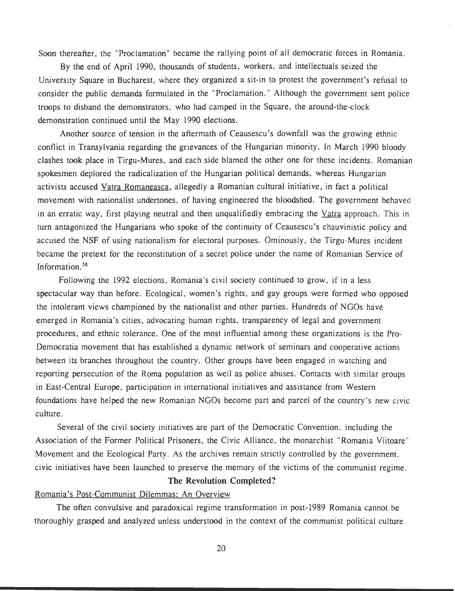Soon thereafter, the "Proclamation" became the rallying point of all democratic forces in Romania.

By the end of April 1990, thousands of students, workers, and intellectuals seized the University Square in Bucharest, where they organized a sit-in to protest the government's refusal to consider the public demands formulated in the "Proclamation." Although the government sent police troops to disband the demonstrators, who had camped in the Square, the around-the-clock demonstration continued until the May 1990 elections.

Another source of tension in the aftermath of Ceausescu's downfall was the growing ethnic conflict in Transylvania regarding the grievances of the Hungarian minority. In March 1990 bloody clashes took place in Tirgu-Mures, and each side blamed the other one for these incidents. Romanian spokesmen deplored the radicalization of the Hungarian political demands, whereas Hungarian activists accused Vatra Romaneasca, allegedly a Romanian cultural initiative, in fact a political movement with nationalist undertones, of having engineered the bloodshed. The government behaved in an erratic way, first playing neutral and then unqualifiedly embracing the  $V<sub>atra</sub>$  approach. This in turn antagonized the Hungarians who spoke of the continuity of Ceausescu's chauvinistic policy and accused the NSF of using nationalism for electoral purposes. Ominously, the Tirgu-Mures incident became the pretext for the reconstitution of a secret police under the name of Romanian Service of Information $38$ 

Following the 1992 elections, Romania's civil society continued to grow, if in a less spectacular way than before. Ecological, women's rights, and gay groups were formed who opposed the intolerant views championed by the nationalist and other parties. Hundreds of NGOs have emerged in Romania's cities, advocating human rights, transparency of legal and government procedures, and ethnic tolerance. One of the most influential among these organizations is the Pro-Democratia movement that has established a dynamic network of seminars and cooperative actions between its branches throughout the country. Other groups have been engaged in watching and reporting persecution of the Roma population as well as police abuses . Contacts with similar groups in East-Central Europe, participation in international initiatives and assistance from Western foundations have helped the new Romanian NGOs become part and parcel of the country's new civic culture.

Several of the civil society initiatives are part of the Democratic Convention, including the Association of the Former Political Prisoners, the Civic Alliance, the monarchist "Romania Viitoare " Movement and the Ecological Party. As the archives remain strictly controlled by the government, civic initiatives have been launched to preserve the memory of the victims of the communist regime .

#### **The Revolution Completed?**

## Romania's Post-Communist Dilemmas; An Overview

The often convulsive and paradoxical regime transformation in post-1989 Romania cannot be thoroughly grasped and analyzed unless understood in the context of the communist political culture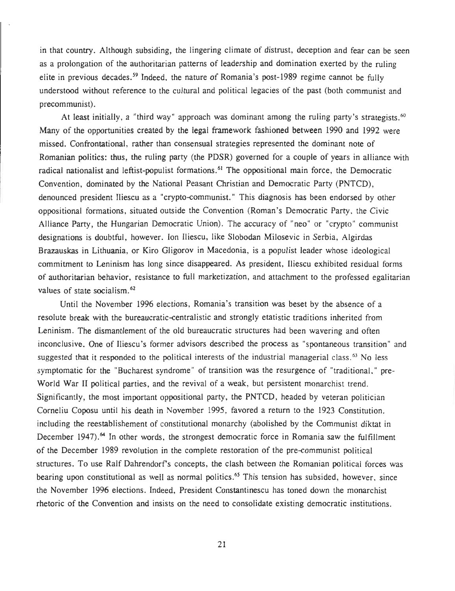in that country. Although subsiding, the lingering climate of distrust, deception and fear can be seen as a prolongation of the authoritarian patterns of leadership and domination exerted by the ruling elite in previous decades.<sup>59</sup> Indeed, the nature of Romania's post-1989 regime cannot be fully understood without reference to the cultural and political legacies of the past (both communist and precommunist) .

At least initially, a "third way" approach was dominant among the ruling party's strategists.<sup>60</sup> Many of the opportunities created by the legal framework fashioned between 1990 and 1992 were missed. Confrontational, rather than consensual strategies represented the dominant note of Romanian politics: thus, the ruling party (the PDSR) governed for a couple of years in alliance with radical nationalist and leftist-populist formations.<sup>61</sup> The oppositional main force, the Democratic Convention, dominated by the National Peasant Christian and Democratic Party (PNTCD) , denounced president Iliescu as a "crypto-communist." This diagnosis has been endorsed by other oppositional formations, situated outside the Convention (Roman's Democratic Party, the Civic Alliance Party, the Hungarian Democratic Union). The accuracy of "neo" or "crypto" communist designations is doubtful, however. Ion Iliescu, like Slobodan Milosevic in Serbia, Algirdas Brazauskas in Lithuania, or Kiro Gligorov in Macedonia, is a populist leader whose ideological commitment to Leninism has long since disappeared. As president, Iliescu exhibited residual forms of authoritarian behavior, resistance to full marketization, and attachment to the professed egalitarian values of state socialism. $62$ 

Until the November 1996 elections, Romania's transition was beset by the absence of a resolute break with the bureaucratic-centralistic and strongly etatistic traditions inherited from Leninism. The dismantlement of the old bureaucratic structures had been wavering and often inconclusive. One of Iliescu's former advisors described the process as "spontaneous transition" and suggested that it responded to the political interests of the industrial managerial class.<sup>63</sup> No less symptomatic for the "Bucharest syndrome" of transition was the resurgence of "traditional," pre-World War II political parties, and the revival of a weak, but persistent monarchist trend. Significantly, the most important oppositional party, the PNTCD, headed by veteran politician Corneliu Coposu until his death in November 1995, favored a return to the 1923 Constitution , including the reestablishement of constitutional monarchy (abolished by the Communist diktat in December 1947).<sup>64</sup> In other words, the strongest democratic force in Romania saw the fulfillment of the December 1989 revolution in the complete restoration of the pre-communist political structures. To use Ralf Dahrendorf's concepts, the clash between the Romanian political forces was bearing upon constitutional as well as normal politics.<sup>65</sup> This tension has subsided, however, since the November 1996 elections. Indeed, President Constantinescu has toned down the monarchist rhetoric of the Convention and insists on the need to consolidate existing democratic institutions .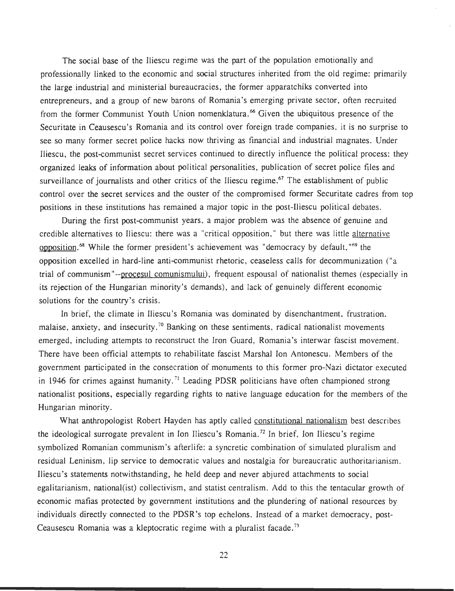The social base of the Iliescu regime was the part of the population emotionally and professionally linked to the economic and social structures inherited from the old regime: primarily the large industrial and ministerial bureaucracies, the former apparatchiks converted into entrepreneurs, and a group of new barons of Romania's emerging private sector, often recruited from the former Communist Youth Union nomenklatura.<sup>66</sup> Given the ubiquitous presence of the Securitate in Ceausescu's Romania and its control over foreign trade companies, it is no surprise to see so many former secret police hacks now thriving as financial and industrial magnates. Under Iliescu, the post-communist secret services continued to directly influence the political process: they organized leaks of information about political personalities, publication of secret police files and surveillance of journalists and other critics of the Iliescu regime.<sup> $67$ </sup> The establishment of public control over the secret services and the ouster of the compromised former Securitate cadres from top positions in these institutions has remained a major topic in the post-Iliescu political debates .

During the first post-communist years, a major problem was the absence of genuine and credible alternatives to Iliescu: there was a "critical opposition," but there was little alternative opposition.<sup>68</sup> While the former president's achievement was "democracy by default, "<sup>69</sup> the opposition excelled in hard-line anti-communist rhetoric, ceaseless calls for decommunization (" a trial of communism"--procesul comunismului), frequent espousal of nationalist themes (especially in its rejection of the Hungarian minority's demands), and lack of genuinely different economic solutions for the country's crisis.

In brief, the climate in Iliescu's Romania was dominated by disenchantment, frustration, malaise, anxiety, and insecurity.<sup>70</sup> Banking on these sentiments, radical nationalist movements emerged, including attempts to reconstruct the Iron Guard, Romania's interwar fascist movement. There have been official attempts to rehabilitate fascist Marshal Ion Antonescu . Members of the government participated in the consecration of monuments to this former pro-Nazi dictator executed in 1946 for crimes against humanity.<sup>71</sup> Leading PDSR politicians have often championed strong nationalist positions, especially regarding rights to native language education for the members of the Hungarian minority.

What anthropologist Robert Hayden has aptly called constitutional nationalism best describes the ideological surrogate prevalent in Ion Iliescu's Romania.<sup>72</sup> In brief, Ion Iliescu's regime symbolized Romanian communism's afterlife: a syncretic combination of simulated pluralism and residual Leninism, lip service to democratic values and nostalgia for bureaucratic authoritarianism . Iliescu's statements notwithstanding, he held deep and never abjured attachments to social egalitarianism, national(ist) collectivism, and statist centralism. Add to this the tentacular growth of economic mafias protected by government institutions and the plundering of national resources by individuals directly connected to the PDSR's top echelons. Instead of a market democracy, post-Ceausescu Romania was a kleptocratic regime with a pluralist facade."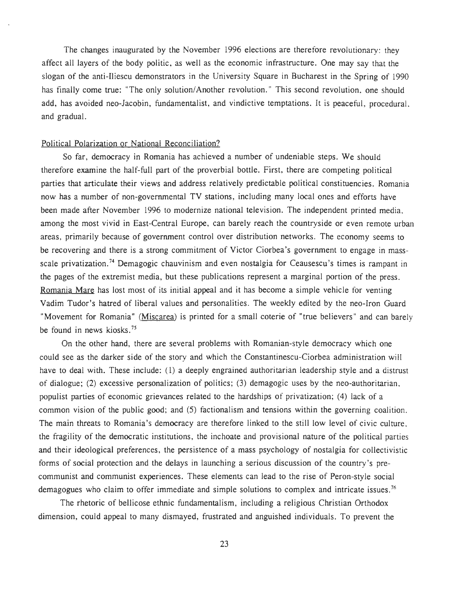The changes inaugurated by the November 1996 elections are therefore revolutionary: they affect all layers of the body politic, as well as the economic infrastructure . One may say that the slogan of the anti-Iliescu demonstrators in the University Square in Bucharest in the Spring of 1990 has finally come true: "The only solution/Another revolution." This second revolution, one should add, has avoided neo-Jacobin, fundamentalist, and vindictive temptations. It is peaceful, procedural, and gradual.

#### Political Polarization or National Reconciliation?

So far, democracy in Romania has achieved a number of undeniable steps. We should therefore examine the half-full part of the proverbial bottle. First, there are competing political parties that articulate their views and address relatively predictable political constituencies . Romania now has a number of non-governmental TV stations, including many local ones and efforts have been made after November 1996 to modernize national television . The independent printed media . among the most vivid in East-Central Europe, can barely reach the countryside or even remote urban areas, primarily because of government control over distribution networks. The economy seems to be recovering and there is a strong commitment of Victor Ciorbea's government to engage in massscale privatization.<sup>74</sup> Demagogic chauvinism and even nostalgia for Ceausescu's times is rampant in the pages of the extremist media, but these publications represent a marginal portion of the press . Romania Mare has lost most of its initial appeal and it has become a simple vehicle for venting Vadim Tudor's hatred of liberal values and personalities. The weekly edited by the neo-Iron Guard "Movement for Romania" (Miscarea) is printed for a small coterie of "true believers" and can barely be found in news kiosks. $75$ 

On the other hand, there are several problems with Romanian-style democracy which one could see as the darker side of the story and which the Constantinescu-Ciorbea administration wil <sup>l</sup> have to deal with. These include: (1) a deeply engrained authoritarian leadership style and a distrust of dialogue; (2) excessive personalization of politics; (3) demagogic uses by the neo-authoritarian, populist parties of economic grievances related to the hardships of privatization; (4) lack of a common vision of the public good; and (5) factionalism and tensions within the governing coalition. The main threats to Romania's democracy are therefore linked to the still low level of civic culture , the fragility of the democratic institutions, the inchoate and provisional nature of the political parties and their ideological preferences, the persistence of a mass psychology of nostalgia for collectivistic forms of social protection and the delays in launching a serious discussion of the country's precommunist and communist experiences . These elements can lead to the rise of Peron-style socia <sup>l</sup> demagogues who claim to offer immediate and simple solutions to complex and intricate issues.<sup>76</sup>

The rhetoric of bellicose ethnic fundamentalism, including a religious Christian Orthodox dimension, could appeal to many dismayed, frustrated and anguished individuals . To prevent the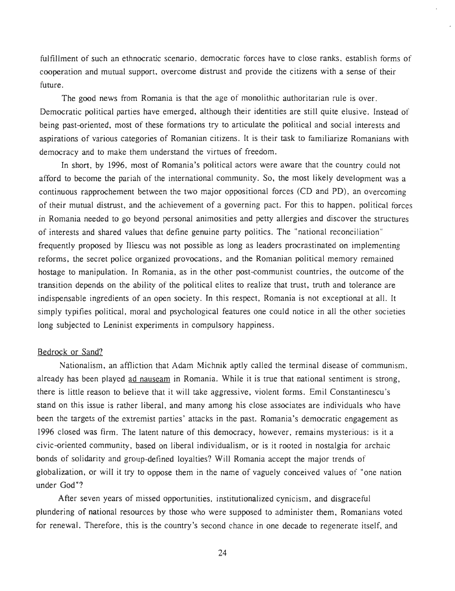fulfillment of such an ethnocratic scenario, democratic forces have to close ranks, establish forms of cooperation and mutual support, overcome distrust and provide the citizens with a sense of their future.

The good news from Romania is that the age of monolithic authoritarian rule is over . Democratic political parties have emerged, although their identities are still quite elusive. Instead of being past-oriented, most of these formations try to articulate the political and social interests and aspirations of various categories of Romanian citizens. It is their task to familiarize Romanians with democracy and to make them understand the virtues of freedom.

In short, by 1996, most of Romania's political actors were aware that the country could not afford to become the pariah of the international community. So, the most likely development was a continuous rapprochement between the two major oppositional forces (CD and PD), an overcoming of their mutual distrust, and the achievement of a governing pact . For this to happen, political forces in Romania needed to go beyond personal animosities and petty allergies and discover the structures of interests and shared values that define genuine party politics . The "national reconciliation " frequently proposed by Iliescu was not possible as long as leaders procrastinated on implementing reforms, the secret police organized provocations, and the Romanian political memory remained hostage to manipulation. In Romania, as in the other post-communist countries, the outcome of the transition depends on the ability of the political elites to realize that trust, truth and tolerance are indispensable ingredients of an open society. In this respect, Romania is not exceptional at all. It simply typifies political, moral and psychological features one could notice in all the other societies long subjected to Leninist experiments in compulsory happiness.

#### Bedrock or Sand?

Nationalism, an affliction that Adam Michnik aptly called the terminal disease of communism . already has been played ad nauseam in Romania. While it is true that national sentiment is strong, there is little reason to believe that it will take aggressive, violent forms . Emil Constantinescu's stand on this issue is rather liberal, and many among his close associates are individuals who have been the targets of the extremist parties' attacks in the past. Romania's democratic engagement as 1996 closed was firm. The latent nature of this democracy, however, remains mysterious: is it a civic-oriented community, based on liberal individualism, or is it rooted in nostalgia for archaic bonds of solidarity and group-defined loyalties? Will Romania accept the major trends of globalization, or will it try to oppose them in the name of vaguely conceived values of "one nation under God"?

After seven years of missed opportunities, institutionalized cynicism, and disgraceful plundering of national resources by those who were supposed to administer them, Romanians voted for renewal. Therefore, this is the country's second chance in one decade to regenerate itself, and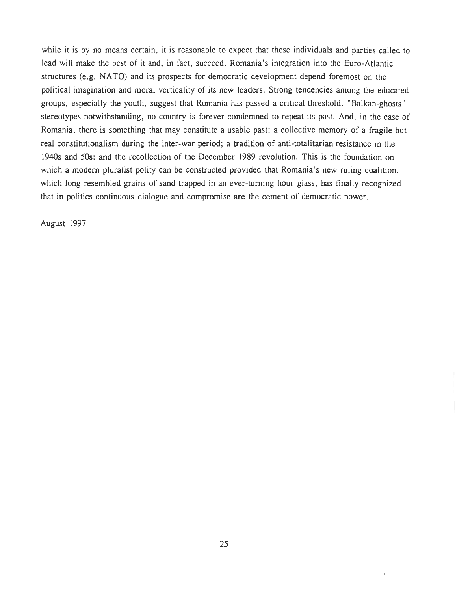while it is by no means certain, it is reasonable to expect that those individuals and parties called to lead will make the best of it and, in fact, succeed. Romania's integration into the Euro-Atlantic structures (e.g. NATO) and its prospects for democratic development depend foremost on the political imagination and moral verticality of its new leaders. Strong tendencies among the educated groups, especially the youth, suggest that Romania has passed a critical threshold . "Balkan-ghosts " stereotypes notwithstanding, no country is forever condemned to repeat its past. And, in the case of Romania, there is something that may constitute a usable past: a collective memory of a fragile but real constitutionalism during the inter-war period; a tradition of anti-totalitarian resistance in the 1940s and 50s; and the recollection of the December 1989 revolution . This is the foundation on which a modern pluralist polity can be constructed provided that Romania's new ruling coalition, which long resembled grains of sand trapped in an ever-turning hour glass, has finally recognized that in politics continuous dialogue and compromise are the cement of democratic power .

August 1997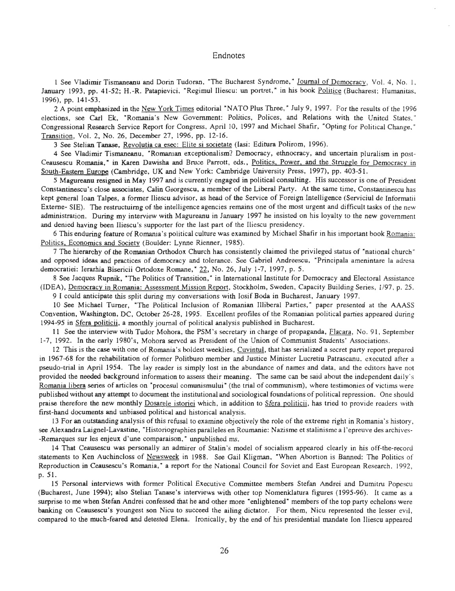#### Endnotes

1 See Vladimir Tismaneanu and Dorin Tudoran, "The Bucharest Syndrome," Journal of Democracy, Vol. 4, No. 1, January 1993, pp. 41-52; H.-R. Patapievici, "Regimul Iliescu: un portret," in his book Politice (Bucharest; Humanitas, 1996), pp. 141-53 .

2 A point emphasized in the New York Times editorial "NATO Plus Three," July 9, 1997. For the results of the 1996 elections, see Carl Ek, "Romania's New Government: Politics, Polices, and Relations with the United States," Congressional Research Service Report for Congress, April 10, 1997 and Michael Shafir, "Opting for Political Change, " Transition, Vol. 2, No. 26, December 27, 1996, pp. 12-16.

<sup>3</sup> **See Stelian Tanase, Revolutia**ca esec: Elite si societate (Iasi: Editura Polirom, 1996) .

4 **See** Vladimir **Tismaneanu,** "Romanian exceptionalism? Democracy, ethnocracy, and uncertain pluralism in post-Ceausescu Romania," in Karen Dawisha and Bruce Parrott, eds., Politics, Power, and the Struggle for Democracy in South-Eastern Europe (Cambridge, UK and New York: Cambridge University Press, 1997), pp. 403-51.

5 Magureanu resigned in May 1997 and is currently engaged in political consulting. His successor is one of Presiden t Constantinescu's close associates, Calin Georgescu, a member of the Liberal Party . At the same time, Constantinescu has kept general Ioan Talpes, a former Iliescu advisor, as head of the Service of Foreign Intelligence (Serviciul de Informatii Externe- SIE). The restructuirng of the intelligence agencies remains one of the most urgent and difficult tasks of the new administration. During my interview with Magureanu in January 1997 he insisted on his loyalty to the new government and denied having been Iliescu's supporter for the last part of the Iliescu presidency .

6 This enduring feature of Romania's political culture was examined by Michael Shafir in his important book Romania : Politics, Economics and Society (Boulder: Lynne Rienner, 1985).

7 The hierarchy of the Romanian Orthodox Church has consistently claimed the privileged status of "national church " and opposed ideas and practices of democracy and tolerance. See Gabriel Andreescu, "Principala amenintare la adresa democratiei: Ierarhia Bisericii Ortodoxe Romane," 22, No. 26, July 1-7, 1997, p. 5.

8 See Jacques Rupnik, "The Politics of Transition," in International Institute for Democracy and Electoral Assistance (IDEA), Democracy in Romania: Assessment Mission Report, Stockholm, Sweden, Capacity Building Series, 1/97, p. 25. 9 I could **anticipate this split during** my conversations with Iosif Boda in Bucharest, January 1997 .

10 See Michael Turner, "The Political Inclusion of Romanian Illiberal Parties," paper presented at the AAAS <sup>S</sup> Convention, Washington, DC, October 26-28, 1995. Excellent profiles of the Romanian political parties appeared during 1994-95 in Sfera politicii, a monthly journal of political analysis published in Bucharest.

11 See the interview with Tudor Mohora, the PSM's secretary in charge of propaganda, Flacara, No. 91, September 1-7, 1992. In the early 1980's, Mohora served as President of the Union of Communist Students' Associations .

12 This is the case with one of Romania's boldest weeklies, Cuvintul, that has serialized a secret party report prepared in 1967-68 for the rehabilitation of former Politburo member and Justice Minister Lucretiu Patrascanu . executed after <sup>a</sup> pseudo-trial in April 1954. The lay reader is simply lost in the abundance of names and data, and the editors have not provided the needed background information to assess their meaning . The same can be said about the independent daily's Romania libera series of articles on "procesul comunismului" (the trial of communism), where testimonies of victims were published without any attempt to document the institutional and sociological foundations of political repression. One should praise therefore the new monthly Dosarele istoriei which, in addition to Sfera politicii, has tried to provide readers with first-hand documents and unbiased political and historical analysis .

13 For an outstanding analysis of this refusal to examine objectively the role of the extreme right in Romania's history , see Alexandra Laignel-Lavastine, "Historiographies paralleles en Roumanie: Nazisme et stalinisme a l'epreuve des archives--Remarques sur les enjeux d'une comparaison," unpublished ms.

14 That Ceausescu was personally an admirer of Stalin's model of socialism appeared clearly in his off-the-record statements to Ken Auchincloss of Newsweek in 1988. See Gail Kligman, "When Abortion is Banned: The Politics of Reproduction in Ceausescu's Romania," a report for the National Council for Soviet and East European Research, 1992, p. 51 .

15 Personal interviews with former Political Executive Committee members Stefan Andrei and Dumitru Popescu (Bucharest, June 1994); also Stelian Tanase's interviews with other top Nomenklatura figures (1995-96) . It came as a surprise to me when Stefan Andrei confessed that he and other more "enlightened" members of the top party echelons were **banking on Ceausescu's youngest son Nicu to succeed the ailing dictator.** For them, Nicu represented the lesser evil, compared to the much-feared and detested Elena. Ironically, by the end of his presidential mandate Ion Iliescu appeared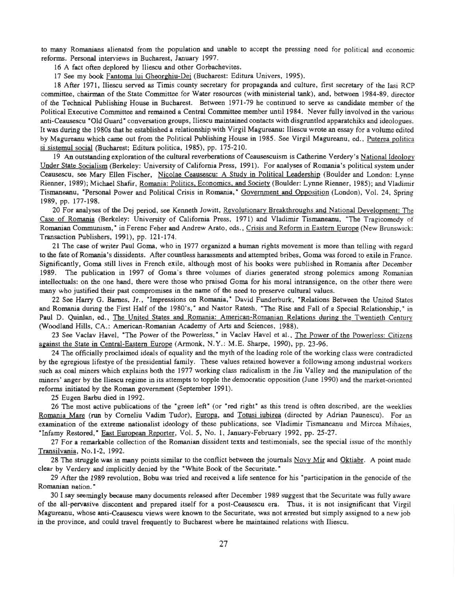to many Romanians alienated from the population and unable to accept the pressing need for political and economic reforms. Personal interviews in Bucharest, January 1997.

16 A fact often deplored by Iliescu and other Gorbachevites.

17 See my book Fantoma lui Gheorghiu-Dej (Bucharest: Editura Univers, 1995) .

18 After 1971, Iliescu served as Timis county secretary for propaganda and culture, first secretary of the Iasi RCP committee, chairman of the State Committee for Water resources (with ministerial tank), and, between 1984-89, director of the Technical Publishing House in Bucharest. Between 1971-79 he continued to serve as candidate member of the Political Executive Committee and remained a Central Committee member until 1984 . Never fully involved in the various anti-Ceausescu "Old Guard" conversation groups, Iliescu maintained contacts with disgruntled apparatchiks and ideologues . It was during the 1980s that he established a relationship with Virgil Magureanu: Iliescu wrote an essay for a volume edited by Magureanu which came out from the Political Publishing House in 1985. See Virgil Magureanu, ed., Puterea politica si sistemul social (Bucharest; Editura politica, 1985), pp. 175-210.

19 An outstanding exploration of the cultural reverberations of Ceausescuism is Catherine Verdery's National Ideology Under State Socialism (Berkeley: University of California Press, 1991). For analyses of Romania's political system under Ceausescu, see Mary Ellen Fischer, Nicolae Ceausescu: A Study in Political Leadership (Boulder and London: Lynne Rienner, 1989); Michael Shafir, Romania: Politics, Economics, and Society (Boulder: Lynne Rienner, 1985); and Vladimir Tismaneanu, "Personal Power and Political Crisis in Romania," Government and Opposition (London), Vol . 24, Spring 1989, pp. 177-198.

20 For analyses of the Dej period, see Kenneth Jowitt, Revolutionary Breakthroughs and National Development: The Case of Romania (Berkeley: University of California Press, 1971) and Vladimir Tismaneanu, "The Tragicomedy of Romanian Communism," in Ferenc Feher and Andrew Arato, eds ., Crisis and Reform in Eastern Europe (New Brunswick : Transaction Publishers, 1991), pp. 121-174.

21 The case of writer Paul Goma, who in 1977 organized a human rights movement is more than telling with regard to the fate of Romania's dissidents . After countless harassments and attempted bribes, Goma was forced to exile in France . Significantly, Goma still lives in French exile, although most of his books were published in Romania after December 1989. The publication in 1997 of Goma's three volumes of diaries generated strong polemics among Romanian intellectuals: on the one hand, there were those who praised Goma for his moral intransigence, on the other there were many who justified their past compromises in the name of the need to preserve cultural values.

22 See Harry G. Barnes, Jr., "Impressions on Romania," David Funderburk, "Relations Between the United States and Romania during the First Half of the 1980's," and Nastor Ratesh, "The Rise and Fall of a Special Relationship," in Paul D. Quinlan, ed., The United States and Romania: American-Romanian Relations during the Twentieth Century (Woodland Hills, CA.: American-Romanian Academy of Arts and Sciences, 1988).

23 See Vaclav Havel, "The Power of the Powerless," in Vaclav Havel et al., The Power of the Powerless: Citizens against the State in Central-Eastern Europe (Armonk, N.Y. : M .E . Sharpe, 1990), pp . 23-96.

24 The officially proclaimed ideals of equality and the myth of the leading role of the working class were contradicted by the egregious lifestye of the presidential family. These values retained however a following among industrial workers such as coal miners which explains both the 1977 working class radicalism in the Jiu Valley and the manipulation of the miners' anger by the Iliescu regime in its attempts to topple the democratic opposition (June 1990) and the market-oriented reforms initiated by the Roman government (September 1991) .

25 Eugen Barbu died in 1992 .

26 The most active publications of the "green left" (or "red right" as this trend is often described, are the weeklies Romania Mare **(run** by Corneliu Vadim Tudor), Europa, and Totusi iubirea (directed by Adrian Paunescu) . For an examination of the extreme nationalist ideology of these publications, see Vladimir Tismaneanu and Mircea Mihaies, "Infamy Restored," East European Reporter, Vol . 5, No. 1, January-February 1992, pp . 25-27.

27 For a remarkable collection of the Romanian dissident texts and testimonials, see the special issue of the monthly Transilvania, No.1-2, 1992 .

28 The struggle was in many points similar to the conflict between the journals Novy Mir and Oktiabr. A point made clear by Verdery **and** implicitly denied by the "White Book of the Securitate . "

29 After the 1989 revolution, Bobu was tried and received a life sentence for his "participation in the genocide of the Romanian nation."

30 I say seemingly because many documents released after December 1989 suggest that the Securitate was fully aware of the all-pervasive discontent and prepared itself for a post-Ceausescu era. Thus, it is not insignificant that Virgil Magureanu, whose anti-Ceausescu views were known to the Securitate, was not arrested but simply assigned to a new job in the province, **and** could travel frequently to Bucharest where he maintained relations with Iliescu .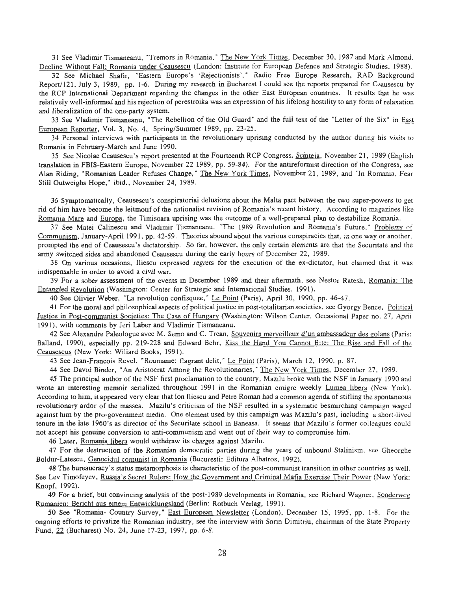31 See Vladimir Tismaneanu, "Tremors in Romania," The New York Times, December 30, 1987 and Mark Almond . Decline Without Fall: Romania under Ceausescu (London: Institute for European Defence and Strategic Studies, 1988).

32 See Michael Shafir, "Eastern Europe's 'Rejectionists'," Radio Free Europe Research, RAD Background Report/121, July 3, 1989, pp. 1-6. During my research in Bucharest I could see the reports prepared for Ceausescu by the RCP International Department regarding the changes in the other East European countries. It results that he was relatively well-informed and his rejection of perestroika was an expression of his lifelong hostility to any form of relaxation and liberalization of the one-party system.

33 See Vladimir Tismaneanu, "The Rebellion of the Old Guard" and the full text of the "Letter of the Six" in East European Reporter, Vol. 3, No. 4, Spring/Summer 1989, pp. 23-25.

34 Personal interviews with participants in the revolutionary uprising conducted by the author during his visits to Romania in **February-March** and June 1990 .

35 See Nicolae Ceausescu's report presented at the Fourteenth RCP Congress, Scinteia, November 21, 1989 (English **translation** in FBIS-Eastern Europe, November 22 1989, pp. 59-84). For the antireformist direction of the Congress, see Alan Riding, **"Romanian** Leader Refuses Change," The New York Times, November 21, 1989, and "In Romania, Fear Still Outweighs Hope," ibid., November 24, 1989.

36 **Symptomatically,** Ceausescu's conspiratorial delusions about the Malta pact between the two super-powers to ge <sup>t</sup> rid of him have become the leitmotif of the nationalist revision of Romania's recent history. According to magazines like Romania Mare and Europa, the Timisoara uprising was the outcome of a well-prepared plan to destabilize Romania .

37 See Matei Calinescu and Vladimir Tismaneanu, "The 1989 Revolution and Romania's Future," Problems of Communism, January-April 1991, pp. 42-59. Theories abound about the various conspiracies that, in one way or another, prompted the end of Ceausescu's dictatorship. So far, however, the only certain elements are that the Securitate and the army switched sides and abandoned Ceausescu during the early hours of December 22, 1989 .

38 On various occasions, Iliescu expressed regrets for the execution of the ex-dictator, but claimed that it was indispensable in order to avoid a civil war.

39 For a sober assessment of the events in December 1989 and their aftermath, see Nestor Ratesh, Romania : The Entangled Revolution (Washington: Center for Strategic and International Studies, 1991) .

40 See Olivier Weber, "La revolution confisquee," Le Point (Paris), April 30, 1990, pp. 46-47.

41 For the moral and philosophical aspects of political justice in post-totalitarian societies, see Gyorgy Bence, Politica <sup>l</sup> Justice in Post-communist Societies: The Case of Hungary (Washington: Wilson Center, Occasional Paper no. 27, April 1991), with comments by Jeri Laber and Vladimir Tismaneanu .

42 See Alexandre Paleologue avec M. Semo and C. Trean, Souvenirs merveilleux d'un ambassadeur des golans (Paris: Balland, 1990), especially pp. 219-228 and Edward Behr, Kiss the Hand You Cannot Bite: The Rise and Fall of the Ceausescus (New York: Willard Books, 1991) .

43 See Jean-Francois Revel, "Roumanie: flagrant delit," Le Point (Paris), March 12, 1990, p. 87.

44 See David Binder, "An Aristocrat Among the Revolutionaries," The New York Times, December 27, 1989.

45 The principal author of the NSF first proclamation to the country, Mazilu broke with the NSF in January 1990 and wrote an interesting memoir serialized throughout 1991 in the Romanian emigre weekly Lumea libera (New York). According to him, it appeared very clear that Ion Iliescu and Petre Roman had a common agenda of stifling the spontaneous revolutionary ardor of the masses. Mazilu's criticism of the NSF resulted in a systematic besmirching campaign waged against him by the pro-government media. One element used by this campaign was Mazilu's past, including a short-lived tenure in the late 1960's as director of the Securitate school in Baneasa. It seems that Mazilu's former colleagues could not accept his genuine conversion to anti-communism and went out of their way to compromise him .

46 Later, Romania libera would withdraw its charges against Mazilu.

47 For the destruction of the Romanian democratic parties during the years of unbound Stalinism, see Gheorghe Boldur-Latescu, Genocidul comunist in Romania (Bucuresti: Editura Albatros, 1992).

48 The **bureaucracy's** status metamorphosis is characteristic of the post-communist transition in other countries as well . See Lev Timofeyev, Russia's Secret Rulers: How the Government and Criminal Mafia Exercise Their Power (New York: Knopf, 1992).

49 For a brief, but convincing analysis of the post-1989 developments in Romania, see Richard Wagner, Sonderweg Rumanien : Bericht aus einem Entwicklungsland (Berlin: Rotbuch Verlag, 1991) .

50 See "Romania- Country Survey," East European Newsletter (London), December 15, 1995, pp. 1-8. For the ongoing efforts to privatize the Romanian industry, see the interview with Sorin Dimitriu, chairman of the State Property Fund, 22 (Bucharest) No. 24, June 17-23, 1997, pp. 6-8.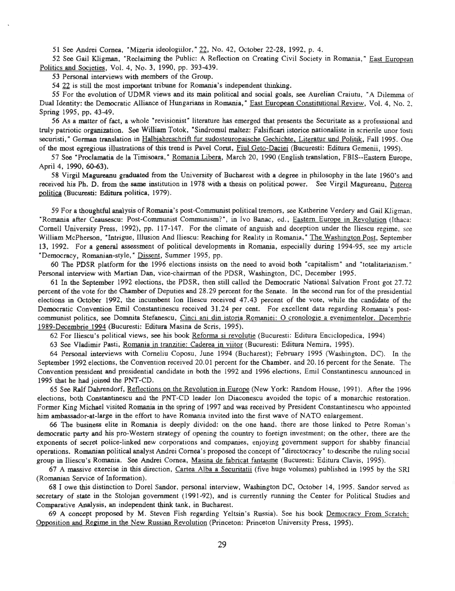51 See Andrei Cornea, "Mizeria ideologiilor, " 22, No . 42, October 22-28, 1992, p . 4.

52 See Gail Kligman, "Reclaiming the Public: A Reflection on Creating Civil Society in Romania," East European Politics and Societies, Vol. 4, No. 3, 1990, pp. 393-439.

53 Personal interviews with members of the Group .

54 22 is still the most important tribune for Romania's independent thinking .

55 For the evolution of UDMR views and its **main** political and social goals, see Aurelian Craiutu, "A Dilemma of Dual Identity: the Democratic Alliance of Hungarians in Romania," East European Constitutional Review, Vol. 4, No. 2, Spring 1995, pp. 43-49.

56 As a matter of fact, a whole "revisionist" literature has emerged that presents the Securitate as a professional an d truly patriotic organization. See William Totok, "Sindromul maltez: Falsificari istorice nationaliste in scrierile unor fosti securisti," German translation in Halbjahreschrift fur sudosteuropaische Gechichte, Literatur und Politik, Fall 1995 . One of the most egregious illustrations of this trend is Pavel Corut, Fiul Geto-Daciei (Bucuresti: Editura Gemenii, 1995).

57 See "Proclamatia de la Timisoara," Romania Libera, March 20, 1990 (English translation, FBIS--Eastern Europe, April 4, 1990, 60-63).

58 Virgil **Magureanu graduated** from the University of Bucharest with a degree in philosophy in the late 1960's an <sup>d</sup> received his Ph. D. from the same institution in 1978 with a thesis on political power. See Virgil Magureanu, Puterea politics (Bucuresti: Editura politica, 1979).

59 For a thoughtful analysis of Romania's post-Communist political tremors, see Katherine Verdery and Gail Kligman , "Romania after Ceausescu : Post-Communist Communism?", in Ivo Banac, ed ., Eastern Europe in Revolution (Ithaca: Cornell University Press, 1992), pp. 117-147. For the climate of anguish and deception under the Iliescu regime, see William McPherson, "Intrigue, Illusion And Iliescu: Reaching for Reality in Romania," The Washington Post, September 13, 1992. For a general assessment of political developments in Romania, especially during 1994-95, see my article "Democracy, Romanian-style," Dissent, Summer 1995, pp.

60 The PDSR platform for the 1996 elections insists on the need to avoid both "capitalism" and "totalitarianism . " Personal interview with Martian Dan, vice-chairman of the PDSR, Washington, DC, December 1995 .

61 In the September 1992 elections, the PDSR, then still called the Democratic National Salvation Front got 27 .72 **percent of the vote for the Chamber of Deputies and 28.29 percent for the Senate. In the second run for of the presidential** elections in October 1992, the incumbent Ion Iliescu received 47 .43 percent of the vote, while the candidate of the Democratic Convention Emil Constantinescu received 31 .24 per cent. For excellent data regarding Romania's postcommunist politics, see Domnita Stefanescu, Cinci ani din istoria Romaniei: O cronologie a evenimentelor. Decembrie 1989-Decembrie 1994 (Bucuresti: Editura Masina de Scris, 1995).

62 For Iliescu's political views, see his book Reforma si revolutie (Bucuresti: Editura Enciclopedica, 1994)

63 See Vladimir Pasti, Romania in tranzitie: Caderea in viitor (Bucuresti: Editura Nemira, 1995).

64 Personal interviews with Corneliu Coposu, June 1994 (Bucharest) ; February 1995 (Washington, DC). In the September 1992 elections, the Convention received 20.01 percent for the Chamber, and 20.16 percent for the Senate. The Convention president and presidential candidate in both the 1992 and 1996 elections, Emil Constantinescu announced in 1995 **that** he **had** joined the PNT-CD.

65 See Ralf Dahrendorf, Reflections on the Revolution in Europe (New York: Random House, 1991). After the 1996 elections, both Constantinescu and the PNT-CD leader Ion Diaconescu avoided the topic of a monarchic restoration . Former King Michael visited Romania in the spring of 1997 and was received by President Constantinescu who appointed him **ambassador-at-large** in the effort to have Romania invited into the first wave of NATO enlargement .

66 The business elite in Romania is deeply divided: on the one hand, there are those linked to Petre Roman's democratic party and his pro-Western strategy of opening the country to foreign investment; on the other, there are the exponents of secret police-linked new corporations and companies, enjoying government support for shabby financial operations. **Romanian** political analyst Andrei Cornea's proposed the concept of "directocracy" to describe the ruling socia <sup>l</sup> group in Iliescu's Romania. See Andrei Cornea, Masina de fabricat fantasme (Bucuresti: Editura Clavis, 1995).

67 A massive exercise in this direction, Cartea Alba a Securitatii (five huge volumes) published in 1995 by the SR <sup>I</sup> (Romanian Service of Information).

68 I owe this distinction to Dorel Sandor, personal interview, Washington DC, October 14, 1995 . Sandor served as secretary of state in the Stolojan government (1991-92), and is currently running the Center for Political Studies and Comparative Analysis, an independent think tank, in Bucharest.

69 A concept proposed by M. Steven Fish regarding Yeltsin's Russia). See his book Democracy From Scratch: Opposition and Regime in the New Russian Revolution (Princeton: Princeton University Press, 1995).